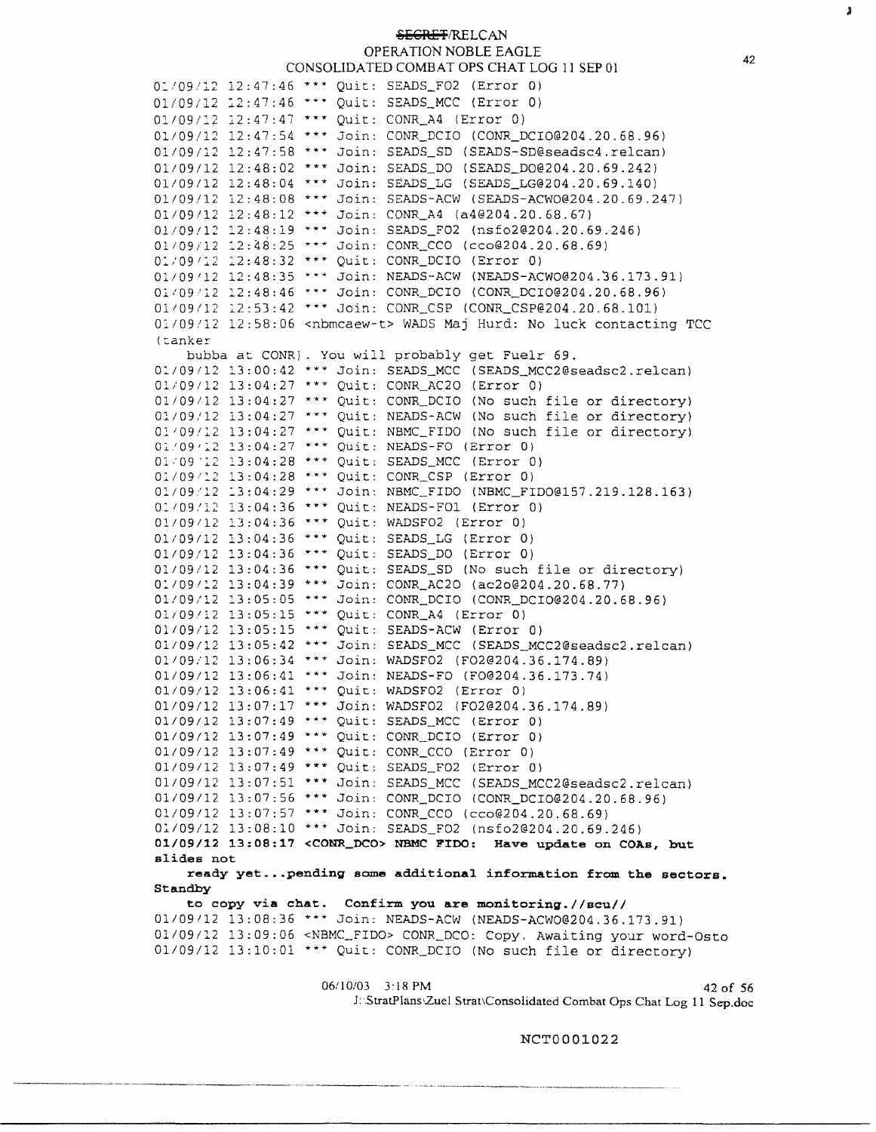## **!sECR£T/RELCAN**  OPERATION NOBLE EAGLE CONSOLIDATED COMBAT OPS CHAT LOG 11 SEP 01

01/09/12 12:47:46 \*\*\* Quit: SEADS\_FO2 (Error 0)  $01/09/12$  12:47:46 \*\*\* Quit: SEADS\_MCC (Error 0) 01/09/12 12:47:47 \*\*\* Quit: CONR\_A4 (Error 0) 01/09/12 12:47:54 \*\*\* Join: CONR\_DCIO ([CONR\\_DCI0@204.20.68.96](mailto:CONR_DCI0@204.20.68.96)) 01/09/12 12:47:58 \*\*\* Join: SEADS\_SD (SEADS-SD@seadsc4.relcan)<br>01/09/12 12:48:02 \*\*\* Join: SEADS\_DO (SEADS\_DO@204.20.69.242) 01/09/12 12:48:04 \*\*\* Join: SEADS\_LG ([SEADS\\_LG@204.20.69.140](mailto:SEADS_LG@204.20.69.140))<br>01/09/12 12:48:08 \*\*\* Join: SEADS-ACW ([SEADS-ACW0@204.20.69.247](mailto:SEADS-ACW0@204.20.69.247))<br>01/09/12 12:48:12 \*\*\* Join: CONR\_A4 (a4@204.20.68.67) 01/09/12 12:48:19 \*\*\* Join: SEADS FO2 ([nsfo2@204.20.69.246](mailto:nsfo2@204.20.69.246)) 01/09/12 12:48:25 \*\*\* Join: CONR CCO ([cco@204.20.68.69](mailto:cco@204.20.68.69)) - 01/09/12 12:48:32 \*\*\* Ouit: CONR DCIO (Error 0) 01/09/12 12:48:32 \*\*\* Quit: CONR\_DCIO (Error 0)<br>01/09/12 12:48:35 \*\*\* Join: NEADS-ACW (NEADS-ACW0@204.36.173.91) 01/09/12 12:48:46 \*\*\* Join: CONR\_DCIO ([CONR\\_DCI0@204.20.68.96](mailto:CONR_DCI0@204.20.68.96)) 01/09/12 12:53:42 \*\*\* Join: CONR\_CSP ([CONR\\_CSP@204.20.68.101](mailto:CONR_CSP@204.20.68.101)) 01/09/12 12:58:06 <nbmcaew-t> WADS Maj Hurd: No luck contacting TCC (tanker bubba at CONR). You will probably get Fuelr 69. 01/09/12 13:00:42 \*\*\* Join: SEADS\_MCC (SEADS\_MCC2@seadsc2.relcan) Ol/09112 13:04:27 \*\*\* Quit: CONR\_AC20 (Error 0) 01/09/12 13:04:27 "\*\* Quit: CONR\_DCIO (No such file or directory)  $01/09/12$  13:04:27 \*\*\* Quit: NEADS-ACW (No such file or directory) 01/09/12 13:04:27 \*\*\* Quit: NBMC\_FIDO (No such file or directory) 01!09•12 13:04:27 \*\*\* Quit: NEADS-FO (Error 0) 01/09 '12 13:04:28 \*\*\* Quit: SEADS\_MCC (Error 0) 01/09/12 13:04:28 \*\*\* Quit: CONR\_CSP (Error 0) 01/09/12 13:04:29 \*\*\* Join: NBMC\_FIDO (NBMC\_FIDO@157.219.128.163) 0:109:12 13:04:36 \*\*\* Quit: NEADS-FOl (Error 0) 01/09112 13:04:36 \*\*\* Quit: WADSF02 (Error 0) 01/09/12 13:04:36 \*\*\* Quit: SEADS\_LG (Error 0) 01/09/12 13:04:36 \*\*\* Quit: SEADS\_DO (Error 0)  $01/09/12$  13:04:36 \*\*\* Quit: SEADS\_SD (No such file or directory) 0:109112 13:04:39 \*\*\* Join: CONR\_AC20 ([ac2o@204.20.68.77](mailto:ac2o@204.20.68.77)) 01/09/12 13:05:05 \*\*\* Join: CONR\_DCIO ([CONR\\_DCI0@204.20.68.96](mailto:CONR_DCI0@204.20.68.96)) 01/09/12 13:05:15 \*\*\* Quit: CONR\_A4 (Error 0) 01/09/12 13:05:15 \*\*\* Quit: SEADS-ACW (Error 0) 01/09/12 13:05:42 \*\*\* Join: SEADS\_MCC (SEADS\_MCC2@seadsc2.relcan) 01/09/12 13:06:34 \*\*\* Join: WADSF02 ([F02@204.36.174.89](mailto:F02@204.36.174.89))  $01/09/12$   $13:06:41$  \*\*\* Join: NEADS-FO (FO@204.36.173.74) 01/09/12 13:06:41 \*\*\* Quit: WADSF02 (Error 0) 01/09/12 13:07:17 \*\*\* Join: WADSF02 ([F02@204.36.174.89](mailto:F02@204.36.174.89)) 01/09/12 13:07:49 \*\*\* Quit: SEADS\_MCC (Error 0) 01/09/12 13:07:49 \*\*\* Quit: CONR\_DCIO (Error 0) 01/09/12 13:07:49 \*\*\* Quit: CONR\_CCO (Error 0) 01/09/12 13:07:49 \*\*\* Quit: SEADS\_FO2 (Error 0) 01/09112 13:07:51 \*\*\* Join: SEADS\_MCC ([SEADS\\_MCC2@seadsc2.re1can](mailto:SEADS_MCC2@seadsc2.re1can)) 01/09/12 13:07:56 \*\*\* Join: CONR\_DCIO ([CONR\\_DCI0@204.20.68.96](mailto:CONR_DCI0@204.20.68.96)) 01/09/12 13:07:57 \*\*\* Join: CONR\_CCO ([cco@204.20.68.69](mailto:cco@204.20.68.69)) Ol/09/12 13:08:10 \*\*\* Join: SEADS\_F02 ([nsfo2@204.20.69.246](mailto:nsfo2@204.20.69.246)) **01/09/12 13:08:17 <CONR\_DCO> NBMC FIDO: Have update on COAs, but slides not ready yet ...pending some additional information from the sectors. Standby to copy via chat. Confirm you are monitoring.//scu//**  01/09112 13:08:36 \*\*\* Join: NEADS-ACW ([NEADS-ACW0@204.36.173.91](mailto:NEADS-ACW0@204.36.173.91)) 01/09/12 13:09:06 <NBMC\_FIDO> CONR\_DCO: Copy. Awaiting your word-Osto 01/09/12 13:10:01 \*\*\* Quit: CONR\_DCIO (No such file or directory)

> 06/10/03 3:18 PM 42 of 56 J: .StratPlans,Zuel Strat\Consolidated Combat Ops Chat Log 11 Sep.doc

> > NCT0001022

Я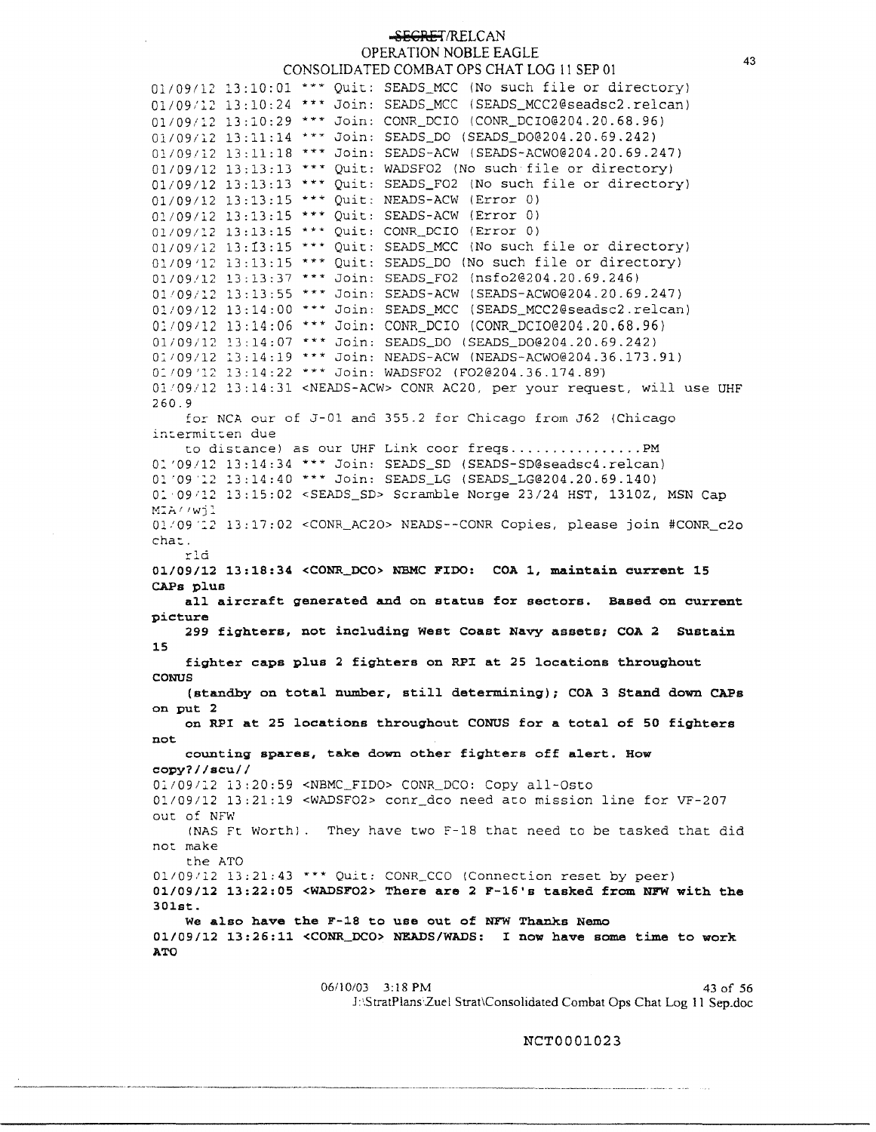## **SEGRET/RELCAN** OPERATION NOBLE EAGLE CONSOLIDATED COMBAT OPS CHAT LOG 11 SEP 01

 $01/09/12$  13:10:01 \*\*\* Quit: SEADS\_MCC (No such file or directory)  $01/09/12$  13:10:24 \*\*\* Join: SEADS\_MCC (SEADS\_MCC2@seadsc2.relcan) 01/09/12 13:10:29 \*\*\* Join: CONR\_DCIO ([CONR\\_DCI0@204.20.68.96](mailto:CONR_DCI0@204.20.68.96)) 01/09/12 13:11:14 \*\*\* Join: SEADS\_DO (SEADS\_DO@204.20.69.242) 01/09/12 13:11:18 \*\*\* Join: SEADS-ACW ([SEADS-ACW0@204.20.69.247](mailto:SEADS-ACW0@204.20.69.247))  $01/09/12$  13:13:13 \*\*\* Quit: WADSF02 (No such file or directory) 01/09/12 13:13:13 \* \* \* Quit: SEADS\_F02 (No such file or directory) 01/09/12 13:13:15 \*\*\* Quit: NEADS-ACW (Error 0) 01/09/12 13:13:15 \*\*\* Quit: SEADS-ACW (Error 0) 01/09/12 13:13:15 \*\*\* Quit: CONR\_DCIO (Error 0)  $01/09/12$  13:13:15 \*\*\* Quit: SEADS\_MCC (No such file or directory) 01/09/12 13:13:15 \*\*\* Quit: SEADS\_DO (No such file or directory) 01/09/12 13:13:37 \*\*\* Join: SEADS\_F02 ([nsfo2@204.20.69.246](mailto:nsfo2@204.20.69.246)) 01/09/12 13:13:55 \*\*\* Join: SEADS-ACW ([SEADS-ACW0@204.20.69.247](mailto:SEADS-ACW0@204.20.69.247)) 01/09112 13:14:00 \*\*\* Join: SEADS\_MCC ([SEADS\\_MCC2@seadsc2.re1can](mailto:SEADS_MCC2@seadsc2.re1can)) 01109112 13:14:06 \*\*\* Join: CONR\_DCIO ([CONR\\_DCIO@204.20.68.96\)](mailto:CONR_DCIO@204.20.68.96) 01/09/12 l3:14:07 \*\*\* Join: SEADS\_DO ([SEADS\\_D0@204.20.69.242](mailto:SEADS_D0@204.20.69.242)) 01/09/12 13:14:19 \*\*\* Join: NEADS-ACW ([NEADS-ACW0@204.36.173.91](mailto:NEADS-ACW0@204.36.173.91)) 01/09'12 13:14:22 \*\*\* Join: WADSF02 ([F02@204.36.174.89](mailto:F02@204.36.174.89)) 01109/12 13:14:31 <NEADS-ACW> CONR AC20, per your request, will use UHF 260.9 for NCA our of J-01 and 355.2 for Chicago from J62 (Chicago intermitten due to distance) as our UHF Link coor freqs ................ PM 01'09/12 13:14:34 \*\*\* Join: SEADS\_SD ([SEADS-SD@seadsc4.re1can](mailto:SEADS-SD@seadsc4.re1can)) Ol '09 '12 13:14:40 \*\*\* Join: SEADS\_LG ([SEADS\\_LG@204.20.69.140](mailto:SEADS_LG@204.20.69.140)) 0:.•09,12 13:15:02 <SEADS\_SD> Scramble Norge 23/24 HST, 1310Z, MSN Cap MIA//wil 01-'09':.2 13:17:02 <CONR\_AC20> NEADS--CONR Copies, please join #CONR\_c2o cha::. rld **01/09/12 13:18:34 <CONR\_DCO> NBMC FIDO: COA 1, maintain current 15 CAPS plus all aircraft generated and** on **status for sectors. Based on current picture 299 fighters, not including West Coast Navy assets; COA 2 Sustain 15 fighter caps plus 2 fighters on RPI at 25 locations throughout CONUS (standby on total number, still determining); COA 3 Stand down CAPS on put 2 on RPI at 25 locations throughout CONUS for a total of 50 fighters not counting spares, take down other fighters off alert. How copy?//scu//**  01/09112 13:20:59 <NBMC\_FIDO> CONR\_DCO: Copy all-Osto 01/09/12 13:21:19 <WADSF02> conr\_dco need ato mission line for VF-207 out of NFW (NAS Ft Worth). They have two F-18 that need to be tasked that did not make the ATO 01/09/12 13:21:43 \*\*\* Quit: CONR\_CCO (Connection reset by peer) **01/09/12 13:22:05 <WADSF02> There are 2 F-16's tasked from NP'W with the 301st. We also have the F-18 to use out of NFW Thanks Nemo**  01/09/12 13:26:11 **<CONR\_DCO> NEADS/WADS:** I **now have some** time to **work ATO** 

> 06/10/03 3:18 PM 43 of 56 J:\StratPlans·Zuel Strat\Consolidated Combat Ops Chat Log 11 Sep.doc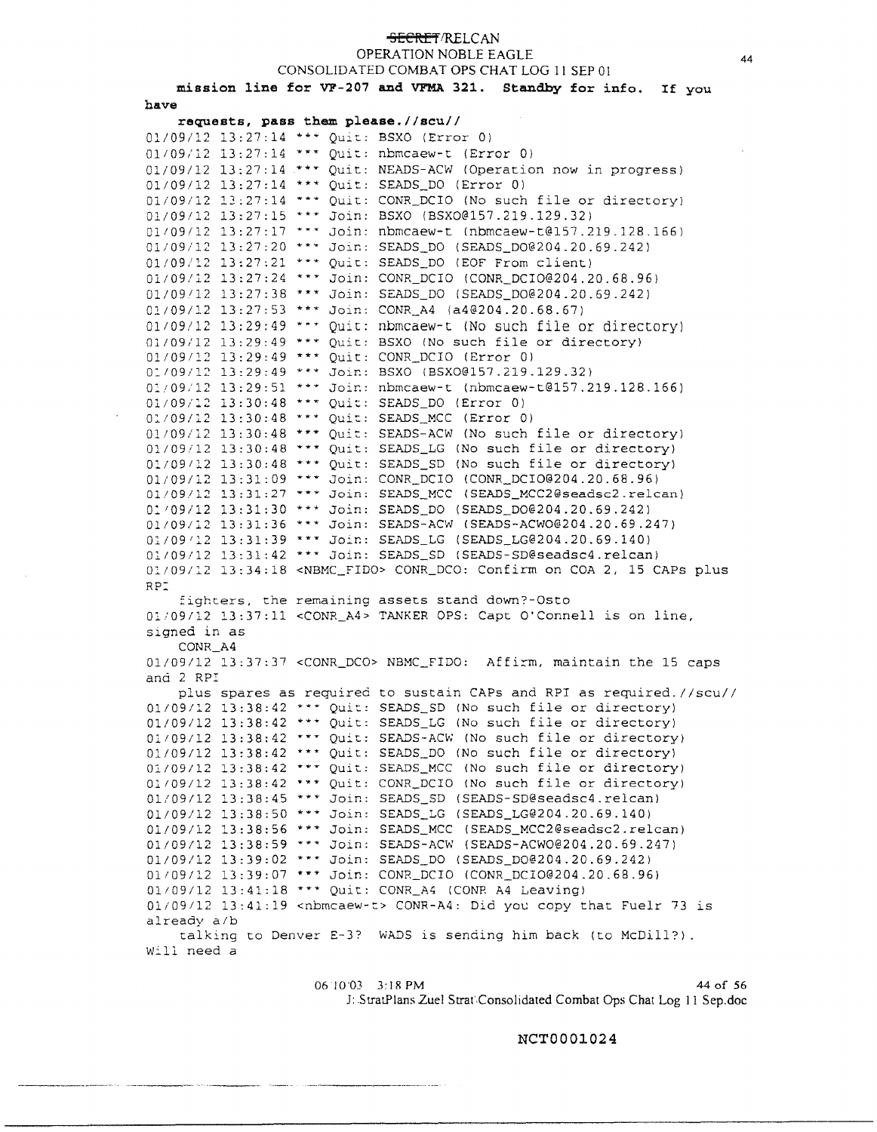#### <del>SECRET</del>/RELCAN

OPERATION NOBLE EAGLE

CONSOLIDATED COMBAT OPS CHAT LOG 11 SEP OI

mission line for VF-207 and VFMA 321. Standby for info. If you **have** 

**requests, pass them please.//scu//**  01/09/12 13:27:14 \*\*\* Quit: BSXO (Error 0) 01/09/12 13:27:14 \*\*\* Quit: nbmcaew-t (Error 0) 01/09/12 13:27:14 \*\*\* Quit: NEADS-ACW (Operation now in progress) 01/09/12 13:27:14 \*\*\* Quit: SEADS\_DO (Error 0) 01/09/12 13:27:14 \*\*\* Quit: CONR\_DCIO (No such file or directory) 01/09112 13:27:15 \*\*\* Join: BSXO ([BSXO@l57.219.129.32](mailto:BSXO@l57.219.129.32)) 01/09/12 13:27:17 \*\*\* Join: nbmcaew-t (nbmcaew-t@157.219.128.166) 01/09/1.2 13:27:20 **\*H** Joir:: SEADS\_DO ([SEADS\\_D0@204.20.69.242](mailto:SEADS_D0@204.20.69.242)) 01/09/12 13:27:21 \*\*\* Quit: SEADS\_DO (EOF From client) 01/09/12 13:27:24 \*\*\* Join: CONR\_DCIO ([CONR\\_DCI0@204.20.68.96](mailto:CONR_DCI0@204.20.68.96)) 01/09112 13:27:38 \*\*\* Join: SEADS\_DO ([SEADS\\_D0@204.20.69.242](mailto:SEADS_D0@204.20.69.242)) 01/09/12 13:27:53 \*\*\* Join: CONR\_A4 ([a4@204.20.68.67](mailto:a4@204.20.68.67)) 01/09/12 13:29:49 \*\*\* Quit: nbmcaew-t (No such file or directory) 01/09/12 13:29:49 \*\*\* Quit: BSXO (No such file or directory) 01/09/12 13:29:49 \*\*\* Quit: CONR\_DCIO (Error 0) 01/09/12 13:29:49 \*\*\* Join: BSXO (BSXO@157.219.129.32) 0:109/12 13:29:51 \*\*\* Joir.: nbmcaew-t ([nbmcaew-t@l57.219.128.166](mailto:nbmcaew-t@l57.219.128.166)) 01/09/12 13:30:48 \*\*\* Quit: SEADS\_DO (Error 0) 01/09/12 13:30:48 \*\*\* Quit: SEADS\_MCC (Error 0) 01/09/12 13:30:48 \*\*\* Quit: SEADS-ACW (No such file or directory)  $01/09/12$  13:30:48 \*\*\* Quit: SEADS\_LG (No such file or directory) Ol/09112 13:30:48 \*\*\* Quit: SEADS\_SD (No such file or directory) 01/09/12 13:31:09 \*\*\* Join: CONR\_DCIO ([CONR\\_DCI0@204.20.68.96](mailto:CONR_DCI0@204.20.68.96)) 01/09112 13:31:27 \*\*\* Join: SEADS\_MCC ([SEADS\\_MCC2@seadsc2.re1can\)](mailto:SEADS_MCC2@seadsc2.re1can) 01/09/12 13:31:30 \*\*\* Join: SEADS\_DO (SEADS\_DO@204.20.69.242) 01/09/12 13:31:36 \*\*\* Join: SEADS-ACW ([SEADS-ACW0@204.20.69.247\)](mailto:SEADS-ACW0@204.20.69.247) 01/09/12 13:31:39 \*\*\* Join: SEADS\_LG ([SEADS\\_LG@204.20.69.140](mailto:SEADS_LG@204.20.69.140)) 01/09/12 13:31:42 \*\*\* Join: SEADS\_SD (SEADS-SD@seadsc4.relcan) 01/09/12 13:34:18 <NBMC\_FIDO> CONR\_DCO: Confirm on COA 2, 15 CAPS plus RD fighters, the remaining assets stand down?-Osto 01/09/12 13:37:11 <CONR\_A4> TANKER OPS: Capt O'Connell is on line, signed in as CONR\_A4 01/09/12 13:37:37 <CONR\_DCO> NBMC\_FIDO: Affirm, maintain the 15 caps and 2 RP: plus spares as required to sustain CAPs and RPI as required.//scu// 01/09112 13:38:42 Quit: SEADS\_SD (No such file *or* directory) 01/09/12 13:38:42 \*\*\* Quit: SEADS\_LG (No such file or directory) 01/09/12 13:38:42 \*\*\* Quit: SEADS-ACW (No such file or directory) 01/09/12 13:38:42 \*\*\* Quit: SEADS\_DO (No such file or directory) 01/09/12 13:38:42 \*\*\* Quit: SEADS\_MCC (No such file or directory) 01109/12 13:38:42 \*\*\* Quit: CONR\_DCIO (No such file or directory) 01/09/12 13:38:45 \*\*\* Join: SEADS\_SD (SEADS-SD@seadsc4.relcan) 01/09/12 13:38:50 \*\*\* Join: SEADS\_LG ([SEADS\\_LG@204.20.69.140](mailto:SEADS_LG@204.20.69.140)) 01/09/12 13:38:56 \*\*\* Join: SEADS\_MCC ([SEADS\\_MCC2@seadsc2.re1can](mailto:SEADS_MCC2@seadsc2.re1can)) 01/09/12 13:38:59 \*\*\* Join: SEADS-ACW ([SEADS-ACW0@204.20.69.247](mailto:SEADS-ACW0@204.20.69.247)) 01/09/12 13:39:02 \*\*\* Join: SEADS\_DO (SEADS\_DO@204.20.69.242) 01109/12 13:39:07 \*\*\* Join: CONR\_DCIO ([CONR\\_DCI0@204.20.68.96](mailto:CONR_DCI0@204.20.68.96)) 01/09/12 13:41:18 \*\*\* Quit: CONR\_A4 (CONR A4 Leaving)  $01/09/12$  13:41:19 <nbmcaew-t> CONR-A4: Did you copy that Fuelr 73 is already a/b talking to Denver E-3? WADS is sending him back (to McDill?). Will need a

> 0610'03 3:18PM 44of56 J: StratPlans Zuel Strat',Consolidated Combat Ops Chat Log 11 Sep.doc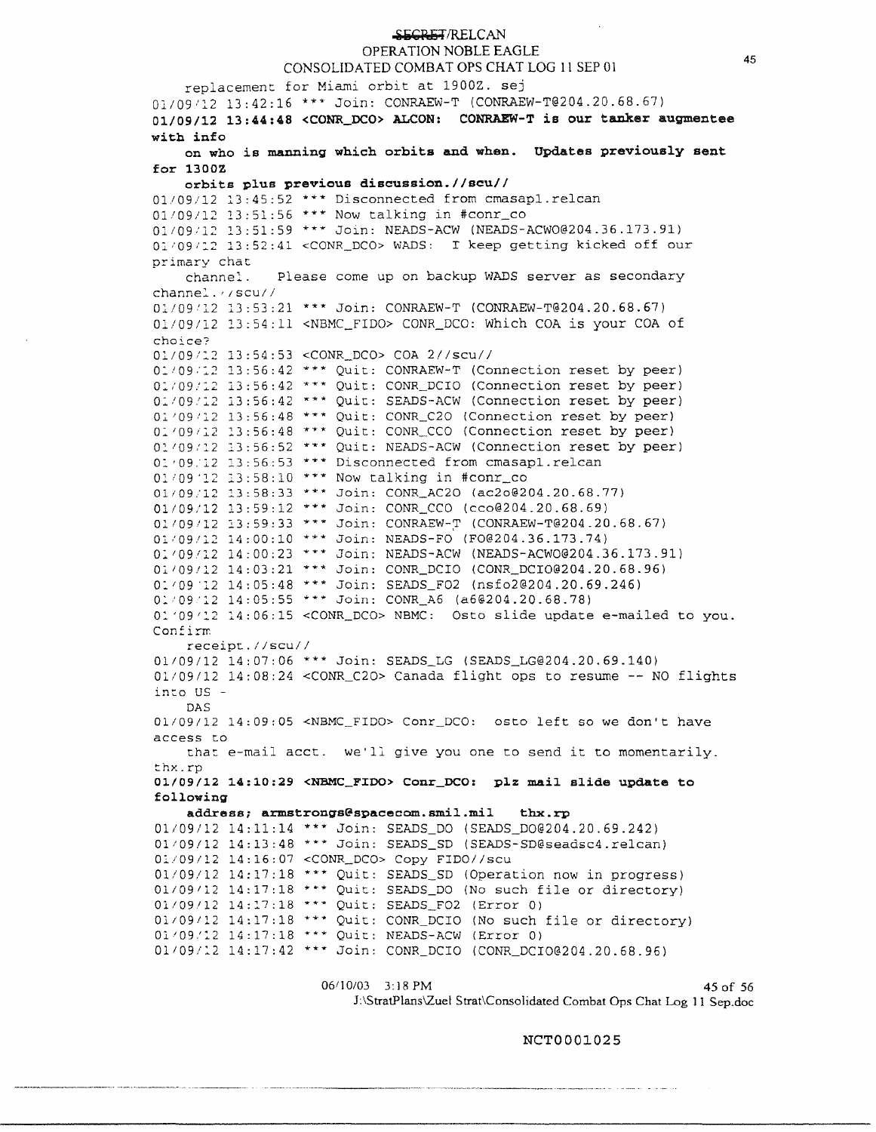#### SECRET/RELCAN OPERATION NOBLE EAGLE

## CONSOLIDATED COMBAT OPS CHAT LOG 11 SEP 01

replacement for Miami orbit at 19002. sej Ol/091l2 13:42:16 \*\*\* Join: CONRAEW-T ([CONRAEW-T@204.20.68.67](mailto:CONRAEW-T@204.20.68.67)) 01/09/12 **13:44:48 <CONR\_DCO> ALCON: CONRAEW-T is our tanker augmentee with info on who is manning which orbits and when. Updates previously sent for 13DDZ orbits plus previous discussion.//scu//**  01/09/12 13:45:52 \*\*\* Disconnected from cmasapl.relcan 01109/12 13:51:56 \*\*\* Now talking in #conr\_co 01/09/12 13:51:59 \*\*\* Join: NEADS-ACW ([NEADS-ACW0@204.36.173.91](mailto:NEADS-ACW0@204.36.173.91)) 01/09/12 13:52:41 <CONR\_DCO> WADS: I keep getting kicked off our primary chat<br>channel. Please come up on backup WADS server as secondary channe:.. , *1* scu/ *<sup>I</sup>* 01/09'12 13:53:21 \*\*\* Join: CONRAEW-T ([CONRAEW-T@204.20.68.67](mailto:CONRAEW-T@204.20.68.67)) 01/09/12 13:54:11 <NBMC\_FIDO> CONR\_DCO: Which COA is your COA of choice? 01/09/::.2 13:54:53 <CONR\_DCO> COA 2//scu//  $0:109.12$  13:56:42 \*\*\* Ouit: CONRAEW-T (Connection reset by peer) O:.i09/l2 13:56:42 \* \* \* Quit: CONR\_DCIO (Connection reset by peer) 01/09/12 13:56:42 \*\*\* Quit: SEADS-ACW (Connection reset by peer) 01/09/12 13:56:48 \*\*\* Quit: CONR\_C20 (Connection reset by peer) 01/09/12 13:56:48 \*\*\* Quit: CONR\_CCO (Connection reset by peer) 01/09/12 13:56:52 \*\*\* Quit: NEADS-ACW (Connection reset by peer) [o:.•09.l2](https://o:.�09.l2) 13:56:53 \*\*\* Disconnected from cmasapl.relcan 01/09 12 13:58:10 \*\*\* Now talking in #conr\_co 01/09/12 13:58:33 \*\*\* Join: CONR\_AC20 ([ac2o@204.20.68.77](mailto:ac2o@204.20.68.77)) 01/09/12 13:59:12 \*\*\* Join: CONR\_CCO ([cco@204.20.68.69](mailto:cco@204.20.68.69)) 01/09/12 13:59:33 \*\*\* Join: CONRAEW-T ([CONRAEW-T@204.20.68.67](mailto:CONRAEW-T@204.20.68.67)) Ol109.'l2 14:00:10 \*\*\* Join: NEADS-FO {[F0@204.36.173.74](mailto:F0@204.36.173.74)) 01/09/12 14:00:23 \*\*\* Join: NEADS-ACW ([NEADS-ACW0@204.36.173.91](mailto:NEADS-ACW0@204.36.173.91)) 01/09/12 14:03:21 \*\*\* Join: CONR\_DCIO ([CONR\\_DCI0@204.20.68.96](mailto:CONR_DCI0@204.20.68.96)) 0: *1* 09 .12 14:05:48 \*\*\* Join: SEADS\_F02 ([nsfo2@204.20.69.246](mailto:nsfo2@204.20.69.246)) 0: 1 09 **'l 2** 14:05:55 \*\*\* Join: CONR\_A6 ([a6@204.20.68.78](mailto:a6@204.20.68.78)) o: **'09** *I* 2.2 14:06:15 <CONR\_DCO> NBMC: Osto slide update e-mailed to you. Confirm receipt.//scu// 01109/12 14:07:06 \*\*\* Join: SEADS\_LG ([SEADS\\_LG@204.20.69.140](mailto:SEADS_LG@204.20.69.140)) 01/09/12 14:08:24 <CONR\_C20> Canada flight ops to resume -- NO flights into US - DAS 01/09/12 14:09:05 <NBMC FIDO> Conr\_DCO: osto left so we don't have access to that e-mail acct. we'll give you one to send it to momentarily. ::.hx.rp **01/09/12 14:10:29 <NBMC\_FIOO> Conr\_DCO: plz mail slide update to following address; [armstrongs@spacecom.smil.mil](mailto:armstrongs@spacecom.smil.mil) thx.rp**  01/09/12 14:11:14 \*\*\* Join: SEADS\_DO ([SEADS\\_D0@204.20.69.242](mailto:SEADS_D0@204.20.69.242)) 01109/12 14:13:48 \*\*\* Join: SEADS\_SD ([SEADS-SD@seadsc4.re1can](mailto:SEADS-SD@seadsc4.re1can)) 0:.109112 14:16:07 <CONR\_DCO> Copy FIDO//scu 01/09/12 14:17:18 \*\*\* Quit: SEADS\_SD (Operation now in progress) 01109112 14:17:18 \*\*\* Quit: SEADS\_DO (No such file or directory) 01/09112 14:17:18 \*\*\* Quit: SEADS\_F02 (Error 0) Ol/09112 14:17:18 \*\*\* Quit: CONR DCIO (No such file or directory) 01/09/12 14:17:18 \*\*\* Quit: NEADS-ACW (Error 0) 01/09/12 14:17:42 \*\*\* Join: CONR\_DCIO ([CONR\\_DCI0@204.20.68.96](mailto:CONR_DCI0@204.20.68.96))

> 06/10/03 3:18 PM 45 of 56 J:\StratPlans\Zuel Strat\Consolidated Combat Ops Chat Log 11 Sep.doc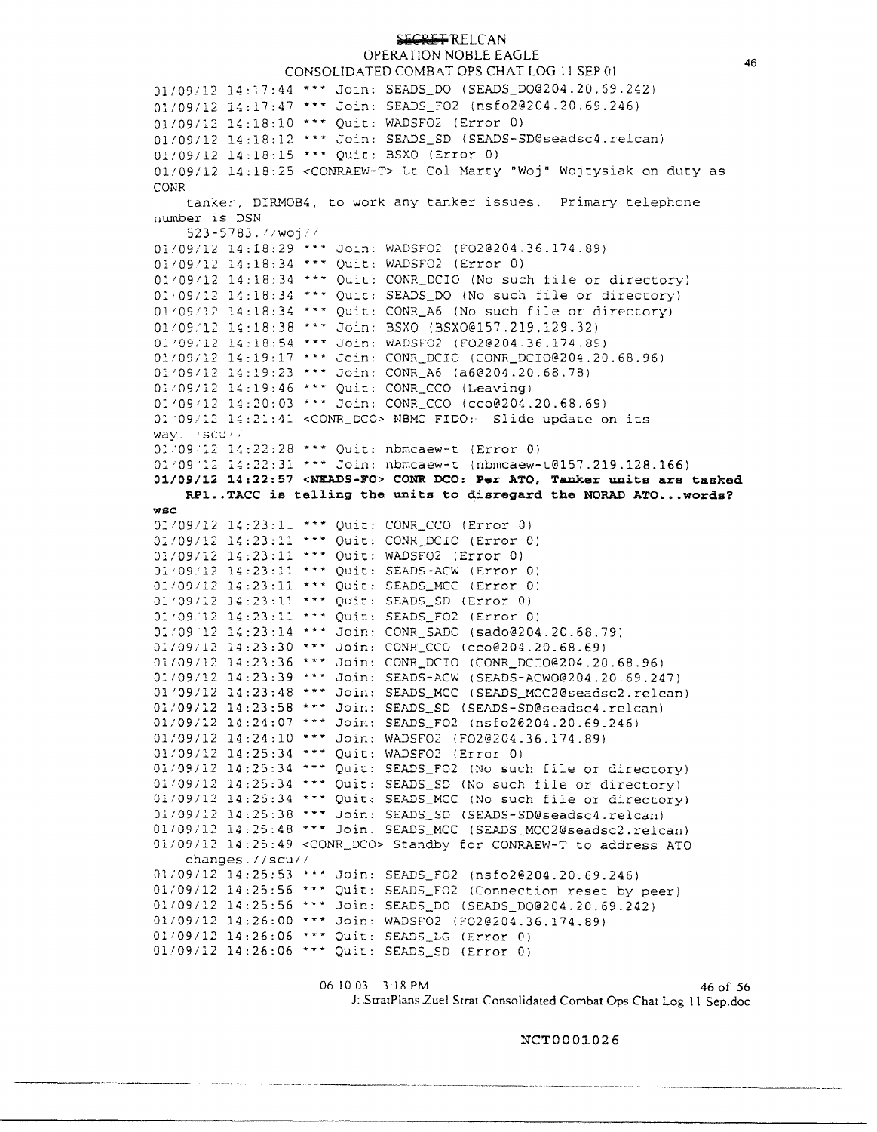OPERATION NOBLE EAGLE CONSOLIDATED COMBAT OPS CHAT LOG 11 SEP OI 01/09/12 14:17:44 Join: SEADS\_DO ([SEADS\\_D0@204.20.69.242](mailto:SEADS_D0@204.20.69.242)) 01/09/12 14:17:47 \*\*\* Join: SEADS\_FO2 ([nsfo2@204.20.69.246](mailto:nsfo2@204.20.69.246)) 01/09/12 14:18:10 \*\*\* Ouit: WADSF02 (Error 0) 01/09/12 14:18:12 \*\*\* Join: SEADS\_SD (SEADS-SD@seadsc4.relcan) 01/09/12 14:18:15 \*\*\* Quit: BSXO (Error 0) 01/09/12 14:18:25 <CONRAEW-T> Lt Col Marty "Woj" Wojtysiak on duty as CONR tanker, DIRMOB4, to work any tanker issues. Primary telephone nwnber is DSN 523-5783. *i/WOji!*   $01/09/12$  14:18:29 \*\*\* Join: WADSF02 (F020204.36.174.89) 01109'12 14:18:34 ••• Quit: WADSF02 (Error 0)  $0:09/12$  14:18:34 \*\*\* Quit: CONR\_DCIO (No such file or directory) 0:,091:2 14:18:34 \*\*\* Quit: SEADS\_DO (No such file or directory) 01/09/12 14:18:34 \*\*\* Quit: CONR\_A6 (No such file or directory) 01/09/12 14:18:38 \*\*\* Join: BSXO (BSXO@157.219.129.32) 01/09/12 14:18:54 \*\*\* Join: WADSF02 ([F02@204.36.174.89](mailto:F02@204.36.174.89)) 01/09/12 14:19:17 \*\*\* Join: CONR\_DCIO ([CONR\\_DCI0@204.20.68.96](mailto:CONR_DCI0@204.20.68.96))  $0:109/12$  14:19:23 \*\*\* Join: CONR\_A6 ([a6@204.20.68.78](mailto:a6@204.20.68.78)) 01:09112 14:19:46 \*\*\* Quit: CONR\_CCO (Leaving) 01'09'12 14:20:03 \*\*\* Join: CONR\_CCO ([cco@204.20.68.69](mailto:cco@204.20.68.69)) 01'09/12 14:21:41 <CONR\_DCO> NBMC FIDO: Slide update on its way. 'scu'? o: ·09 12 14:22:28 ••• Quic: nbmcaew-t (Error 01 01'09'12 14:22:31 ••· Join: nbmcaew-t [lnbmcaew-t@157.219.128.166](mailto:lnbmcaew-t@157.219.128.166)) **01/09/12 14:22:57 <NEADS-FO> CONR DCO: Per ATO, Tanker units are tasked RPl ..TACC is telling the units to disregard the NORAD ATO ...words? wsc:**  o:•09112 14:23:11 \*\*\* Quit: CONR\_CCO (Error 0) 01/09/12 14:23:11 \*\*\* Ouit: CONR\_DCIO (Error 0) 01/09/12 14:23:11 \*\*\* Ouit: WADSF02 (Error 0) 01/09/12 14:23:11 \*\*\* Ouit: SEADS-ACW (Error 0) 01/09/12 14:23:11 \*\*\* Ouit: SEADS\_MCC (Error 0) 01/09/12 14:23:11 \*\*\* Quit: SEADS SD (Error 0) 01/09/12 14:23:11 \*\*\* Quit: SEADS\_FO2 (Error 0) 01/09 12 14:23:14 \*\*\* Join: CONR\_SADO ([sado@204.20.68.79](mailto:sado@204.20.68.79)) 01/09/12 14:23:30 \*\*\* Join: CONR\_CCO ([cco@204.20.68.69](mailto:cco@204.20.68.69)) 01/09/12 14:23:36 \*\*\* Join: CONR\_DCIO ([CONR\\_DCI0@204.20.68.96](mailto:CONR_DCI0@204.20.68.96))  $0:109/12$  14:23:39 \*\*\* Join: SEADS-ACW ([SEADS-ACW0@204.20.69.247](mailto:SEADS-ACW0@204.20.69.247)) 01/09/12 14:23:48 \*\*\* Join: SEADS\_MCC (SEADS\_MCC2@seadsc2.relcan)  $01/09/12$   $14:23:58$  \*\*\* Join: SEADS\_SD (SEADS-SD@seadsc4.relcan)  $01/09/12$  14:24:07 \*\*\* Join: SEADS\_FO2 ([nsfo2@204.20.69.246](mailto:nsfo2@204.20.69.246))  $01/09/12$   $14:24:10$  \*\*\* Join: WADSF02 ([F02@204.36.174.89](mailto:F02@204.36.174.89)) 01/09/12 14:25:34 \*\*\* Quit: WADSF02 (Error 0) 01/09/12 14:25:34 \*\*\* Quit: SEADS\_FO2 (No such file or directory)

01109/12 14:25:34 \*•• Quit: SEADS\_SD (No such file or directory)  $01/09/12$  14:25:34 \*\*\* Quit: SEADS\_MCC (No such file or directory) 01/09/12 14:25:38 \*\*\* Join: SEADS\_SD ([SEADS-SD@seadsc4.re1can](mailto:SEADS-SD@seadsc4.re1can)) 01109/12 14:25:48 ••• Join: SEADS\_MCC ([SEADS\\_MCC2@seadsc2.re1can](mailto:SEADS_MCC2@seadsc2.re1can)) 01/09/12 14:25:49 <CONR\_DCO> Standby for CONRAEW-T to address ATO changes.//scu// 01/09/12 14:25:53 \*\*\* Join: SEADS\_F02 ([nsfo2@204.20.69.246](mailto:nsfo2@204.20.69.246)) 01/09/12 14:25:56 \*\*\* Quit: SEADS\_FO2 (Connection reset by peer) .... 01/09/12 14:25:56 \*\*\* Join: SEADS\_DO ([SEADS\\_D0@204.20.69.242](mailto:SEADS_D0@204.20.69.242))  $01/09/12$   $14:26:00$  \*\*\* Join: WADSF02 (F020204.36.174.89) 01/09/12 14:26:06 \*\*\* Quit: SEADS\_LG (Error 0) 01/09/12 14:26:06 \*\*\* Quit: SEADS\_SD (Error 0)

06 10 03 3:18 PM 46 of 56 J: .StratPlans Zuel Strat Consolidated Combat Ops Chat Log 11 Sep.doc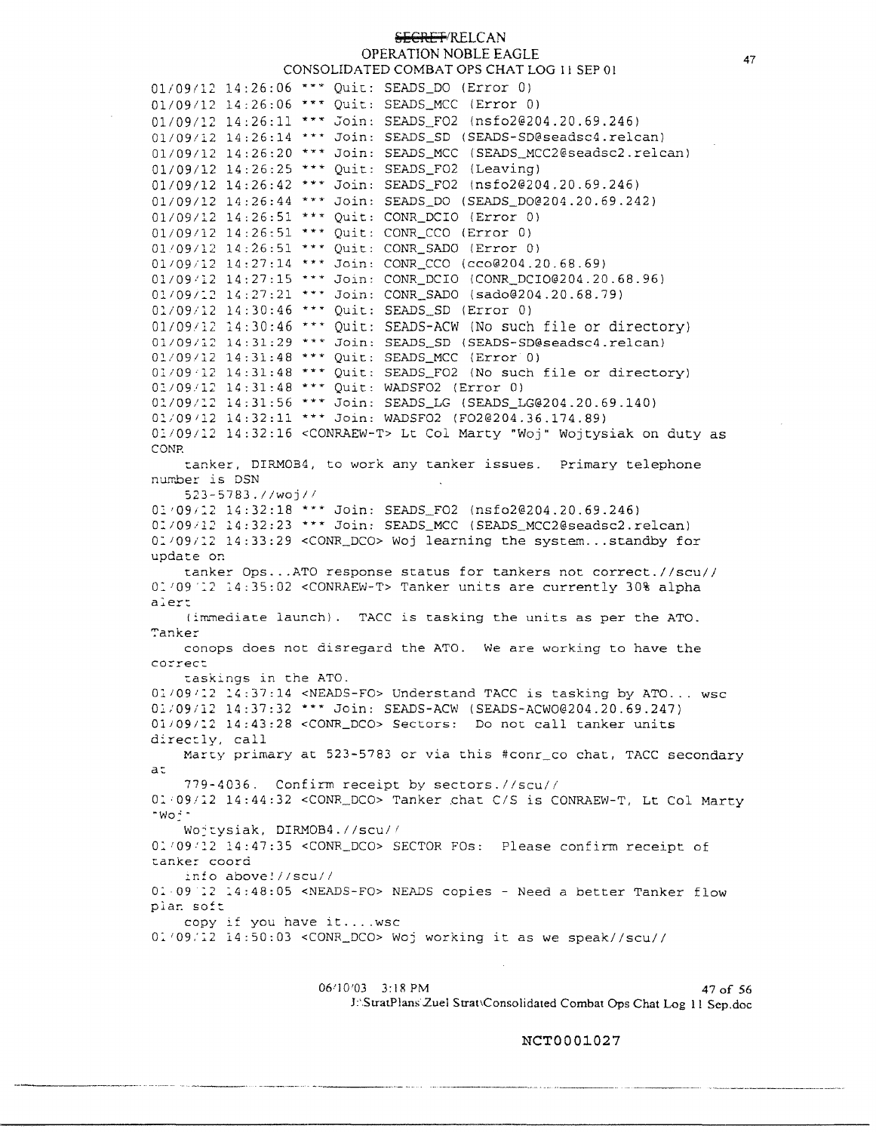## **SECRET/RELCAN** OPERATION NOBLE EAGLE CONSOLIDATED COMBAT OPS CHAT LOG 11 SEP OI

01/09/12 14:26:06 \*\*\* Quit: SEADS\_DO (Error 0) 01/09/12 14:26:06 \*\*\* Quit: SEADS\_MCC (Error 0)  $01/09/12$  14:26:11 \*\*\* Join: SEADS\_FO2 ([nsfo2@204.20.69.246](mailto:nsfo2@204.20.69.246)) 01/09/12 14:26:14 \*\*\* Join: SEADS\_SD (SEADS-SD@seadsc4.relcan) 01/09/12 14:26:20 \*\*\* Join: SEADS\_MCC (SEADS\_MCC2@seadsc2.relcan)  $01/09/12$   $14:26:25$  \*\*\* Ouit: SEADS FO2 (Leaving) 01/09/12 14:26:42 \*\*\* Join: SEADS\_FO2 ([nsfo2@204.20.69.246](mailto:nsfo2@204.20.69.246)) 01/09/12 14:26:44 \*\*\* Join: SEADS DO (SEADS DO@204.20.69.242) 01/09/12 14:26:51 \*\*\* Ouit: CONR\_DCIO (Error 0)  $01/09/12$   $14:26:51$  \*\*\* Quit: CONR\_CCO (Error 0) 01/09/12 14:26:51 \*\*\* Ouit: CONR\_SADO (Error 0) 01/09/12 14:27:14 \*\*\* Join: CONR\_CCO ([cco@204.20.68.69](mailto:cco@204.20.68.69)) 01/09/12 14:27:15 \*\*\* Join: CONR\_DCIO ([CONR\\_DCI0@204.20.68.96](mailto:CONR_DCI0@204.20.68.96)) 01/09/12 14:27:21 \*\*\* Join: CONR\_SADO ([sado@204.20.68.79](mailto:sado@204.20.68.79)) 01/09/12 14:30:46 \*\*\* Quit: SEADS\_SD (Error 0) 01/09/12 14:30:46 \*\*\* Ouit: SEADS-ACW (No such file or directory) 01/09/12 14:31:29 \*\*\* Join: SEADS\_SD ([SEADS-SD@seadsc4.re1can](mailto:SEADS-SD@seadsc4.re1can)) Ol/09112 14:31:48 \*\*\* Quit: SEADS\_MCC (Error 0) 01109·l2 14:31:48 \*\*\* Quit: SEADS\_F02 {No such file or directory) Ol/09.112 14:31:48 \*\*\* Quit: WADSF02 (Error 0) 01/09/12 14:31:56 \*\*\* Join: SEADS\_LG ([SEADS\\_LG@204.20.69.140](mailto:SEADS_LG@204.20.69.140)) 01/09112 14:32:11 \*\*\* Join: WADSF02 ([F02@204.36.174.89](mailto:F02@204.36.174.89)) 0:.109/l:2 14:32:16 <CONRAEW-T> Lt Col Marty "Woj" Wojtysiak on duty as CONP. tanker, DIRMOB4, to work any tanker issues. Primary telephone number is DSN 523-5783.//woj// 01/09/12 14:32:18 \*\*\* Join: SEADS FO2 ([nsfo2@204.20.69.246](mailto:nsfo2@204.20.69.246)) 0:109/l.2 14:32:23 \*\*\* Join: SEADS\_MCC ([SEADS\\_MCC2@seadsc2.re1can](mailto:SEADS_MCC2@seadsc2.re1can)) 0:109/:2 14:33:29 <CONR\_DCO> Woj learning the system... standby for update on tanker Ops ... ATO response status for tankers not correct.//scu// 01/09 12 14:35:02 <CONRAEW-T> Tanker units are currently 30% alpha **a:e:r:**  (immediate launch). TACC is tasking the units as per the ATO. Tanker conops does not disregard the ATO. We are working to have the correct taskings in the ATO. 01/09/12 14:37:14 <NEADS-FO> Understand TACC is tasking by ATO... wsc 01/09/12 14:37:32 \*\*\* Join: SEADS-ACW ([SEADS-ACW0@204.20.69.247](mailto:SEADS-ACW0@204.20.69.247)) 01/09/12 14:43:28 <CONR\_DCO> Sectors: Do not call tanker units directly, call Marty primary at 523-5783 or via this #conr co chat, TACC secondary a: 779-4036. Confirm receipt by sectors.//scu// 01/09/12 14:44:32 <CONR\_DCO> Tanker chat C/S is CONRAEW-T, Lt Col Marty "Wo:· Wojtysiak, DIRMOB4.//scu// O:. '09':2 :.4:47:35 <CONR DCO> SECTOR FOs: Please confirm receipt of tanker coord info above!//scu// o: 09 :2 :4:48:05 <NEADS-FO> NEADS copies - Need a better Tanker flow plan soft copy if you have it ....wsc 01/09/12 14:50:03 < CONR\_DCO> Woj working it as we speak//scu//

> 06/10/03 3:18 PM 47 of 56 J:'StratPlans Zuel Strat\Consolidated Combat Ops Chat Log 11 Sep.doc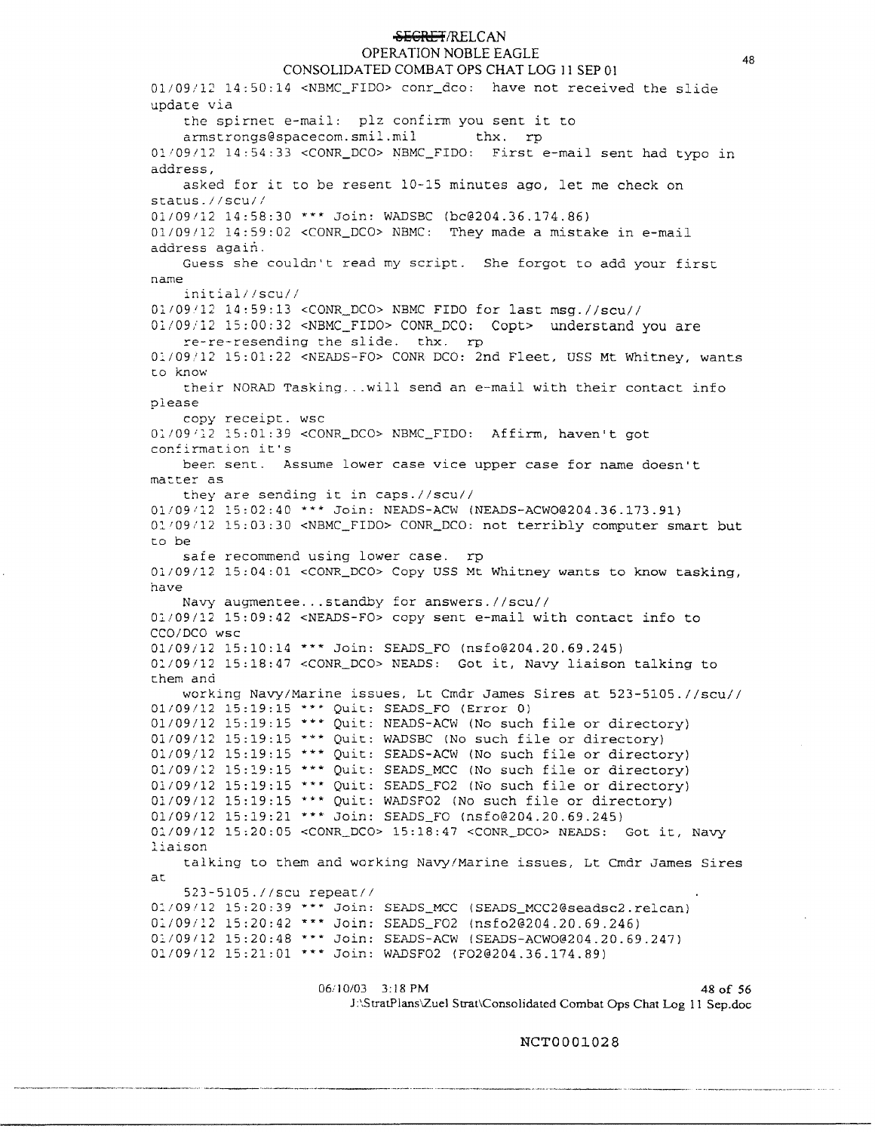## <del>SECRET</del>/RELCAN

## OPERATION NOBLE EAGLE

CONSOLIDATED COMBAT OPS CHAT LOG 11 SEP 01 01/09/12 14:50:14 <NBMC\_FIDO> conr\_dco: have not received the slide update via the spirnet e-mail: plz confirm you sent it to<br>armstrongs@spacecom.smil.mil thx. rp  $armstrong6 spacecom.smil.mil.$ 01.109/12 14:54:33 <CONR\_DCO> NBMC\_FIDO: First e-mail sent had typo in address, asked for it to be resent 10-15 minutes ago, let me check on status.//scu// 01/09112 14:58:30 \*\*\* Join: WADSBC ([bc@204.36.174.86](mailto:bc@204.36.174.86)) 01/09/12 14:59:02 <CONR DCO> NBMC: They made a mistake in e-mail address again. Guess she couldn't read my script. She forgot to add your first name initial//scu// 01/09/12 14:59:13 < CONR\_DCO> NBMC FIDO for last msg.//scu// 0l/09/12 15:00:32 <NBMC\_FIDO> CONR\_DCO: Copt> understand you are re-re-resending the slide. thx. rp 0:/09/12 15:01:22 <NEADS-FO> CONR DCO: 2nd Fleet, USS Mt Whitney, wants c.o know their NORAD Tasking ...will send an e-mail with their contact info please copy receipt. wsc 01/09/12 15:01:39 <CONR\_DCO> NBMC\_FIDO: Affirm, haven't got confirmation it's beer. sent. Assume lower case vice upper case for name doesn't matter as they are sending it in caps.//scu// 0l/Q9ll2 15:02:40 \*\*\* Join: NEADS-ACW ([NEADS-ACW0@204.36.173.91](mailto:NEADS-ACW0@204.36.173.91)) 01/09/12 15:03:30 <NBMC\_FIDO> CONR\_DCO: not terribly computer smart but to be safe recommend using lower case. rp 01/09/12 15:04:01 <CONR\_DCO> Copy USS Mt Whitney wants to know tasking, have Navy augmentee ... standby for answers.//scu// 0:./09/12 15:09:42 <NEADS-FO> copy sent e-mail with contact info to CCO/DCO wsc 0l/09i12 15:10:14 ""\*" Join: SEADS\_FO ([nsfo@204.20.69.245](mailto:nsfo@204.20.69.245)) 01/09/12 15:18:47 <CONR\_DCO> NEADS: Got it, Navy liaison talking to them and working Navy/Marine issues, Lt Cmdr James Sires at 523-5105.//scu//<br>01/09/12 15:19:15 \*\*\* Quit: SEADS\_FO (Error 0)<br>01/09/12 15:19:15 \*\*\* Quit: NEADS-ACW (No such file or directory)  $01/09/12$  15:19:15 \*\*\* Quit: WADSBC (No such file or directory)<br> $01/09/12$  15:19:15 \*\*\* Quit: SEADS-ACW (No such file or directory)  $01/09/12$  15:19:15 \*\*\* Quit: SEADS\_MCC (No such file or directory) 01/09/12 15:19:15 \*\*\* Quit: SEADS\_FO2 (No such file or directory) 01 /09 /12 15:19:15 \*\*\* Quit: WADSFO2 (No such file or directory) 01/09/12 15:19:21 \*\*\* Join: SEADS\_FO ([nsfo@204.20.69.245](mailto:nsfo@204.20.69.245)) 01/09/12 15:20:05 <CONR\_DCO> 15:18:47 <CONR\_DCO> NEADS: Got it, Navy liaison talking to them and working Navy/Marine issues, Lt Cmdr James Sires ac. 523-5105.//scu repeat// Q;\_/09/12 15:20:39 \*\*\* Join: SEADS\_MCC ([SEADS\\_MCC2@seadsc2.re1can](mailto:SEADS_MCC2@seadsc2.re1can)) 01/09/12 15:20:42 \*\*\* Join: SEADS\_FO2 ([nsfo2@204.20.69.246](mailto:nsfo2@204.20.69.246)) 01/09112 15:20:48 \*\*\* Join: SEADS-ACW ([SEADS-ACW0@204.20.69.247](mailto:SEADS-ACW0@204.20.69.247)) 01/09/12 15:21:01 \*\*\* Join: WADSFO2 ([FO2@204.36.174.89](mailto:FO2@204.36.174.89))

> 06/10/03 3:18 PM 48 of 56 J:\StratPlans\Zuel Srrat\Consolidated Combat Ops Chat Log 11 Sep.doc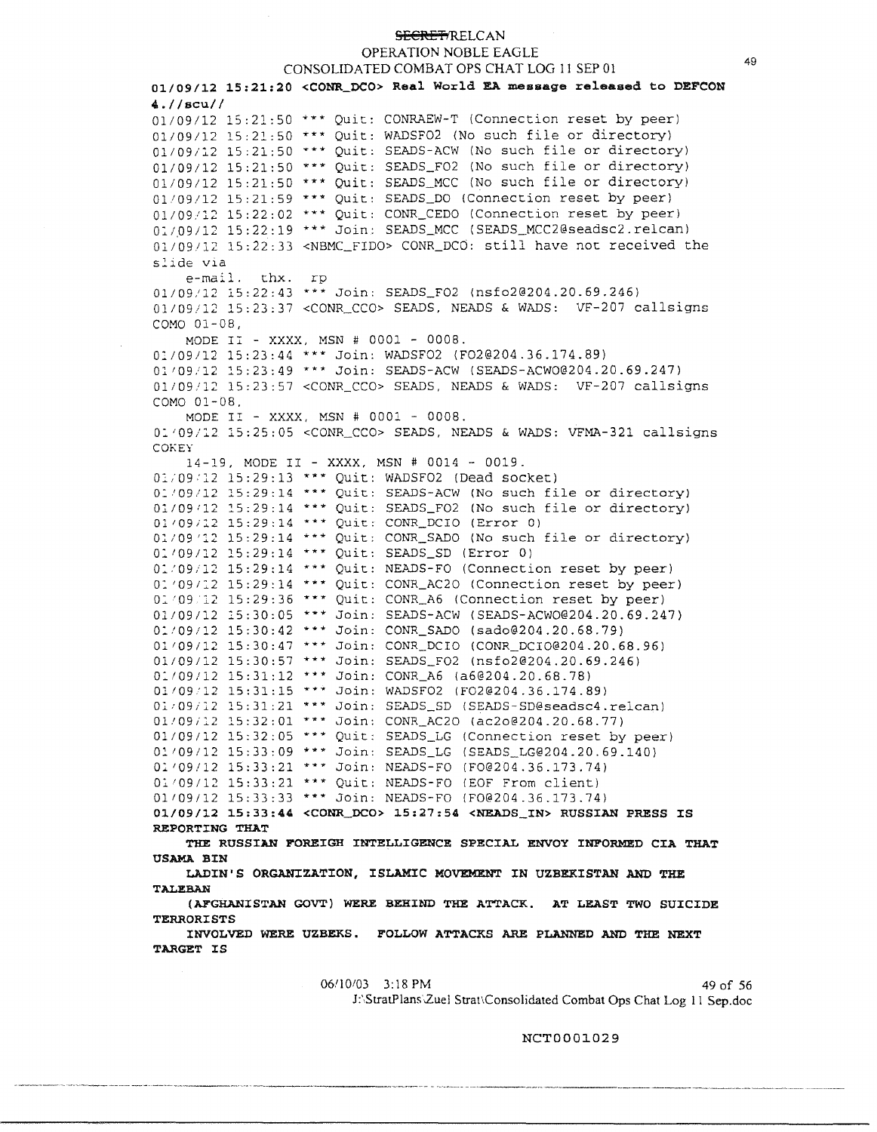OPERATION NOBLE EAGLE

CONSOLIDATED COMBAT OPS CHAT LOG 11 SEP 01 **01/09/12 15:21:20 <CONR\_DCO> Real World EA message released to DEFCON 4.//scu//**   $01/09/12$  15:21:50 \*\*\* Quit: CONRAEW-T (Connection reset by peer) 01/09/12 15:21:50 \*\*\* Quit: WADSFO2 (No such file or directory) 01/09/12 15:21:50 \*\*\* Quit: SEADS-ACW (No such file or directory)  $01/09/12$  15:21:50 \*\*\* Quit: SEADS\_FO2 (No such file or directory) 01/09/12 lS:21:SO \*\*\* Quit: SEADS\_MCC (No such file or directory) 01/09/12 15:21:59 \*\*\* Quit: SEADS\_DO (Connection reset by peer) 01/09/12 15:22:02 \*\*\* Quit: CONR\_CEDO (Connection reset by peer) 01/09/12 15:22:19 \*\*\* Join: SEADS\_MCC (SEADS\_MCC2@seadsc2.relcan) 01/09112 15:22:33 <NBMC FIDO> CONR\_DCO: still have not received the s2.ide via e-mail. thx. rp 01/09/12 lS:22:43 \*\*\* Join: SEADS\_F02 {[nsfo2@204.20.69.246](mailto:nsfo2@204.20.69.246)) 01/09/12 15:23:37 <CONR\_CCO> SEADS, NEADS & WADS: VF-207 callsigns COMO 01-08, MODE II - **XXXX,** MSN # 0001 - 0008. 01/09/12 15:23:44 \*\*\* Join: WADSFO2 (FO2@204.36.174.89) 01/09/12 15:23:49 \*\*\* Join: SEADS-ACW ([SEADS-ACW0@204.20.69.247](mailto:SEADS-ACW0@204.20.69.247)) 01/09/12 lS:23:57 <CONR\_CCO> SEADS, NEADS & WADS: VF-207 callsigns COMO 01-08, MODE II - XXXX, MSN # 0001 - 0008. 01/09/12 15:25:05 <CONR\_CCO> SEADS, NEADS & WADS: VFMA-321 callsigns **COKEY** 14-19, MODE II - **XXXX,** MSN # 0014 - 0019. 01/09/12 15:29:13 \*\*\* Quit: WADSF02 (Dead socket) 01/09/12 15:29:14 \*\*\* Quit: SEADS-ACW (No such file or directory) 01/09/12 15:29:14 \*\*\* Quit: SEADS\_FO2 (No such file or directory) 01/09/12 15:29:14 \*\*\* Quit: CONR\_DCIO (Error 0) 01/09'12 15:29:14 \*\*\* Quit: CONR\_SADO (No such file or directory) 01/09/12 15:29:14 \*\*\* Quit: SEADS\_SD (Error 0) o:.'09/12 15:29:14 "\*\* Quit: NEADS-FO (Connection reset by peer) 01/09/12 15:29:14 \*\*\* Quit: CONR\_AC20 (Connection reset by peer) *0::. 1 09* 12 15:29:36 \*\*\* Quit: CONR\_A6 (Connection reset by peer) 01/09/12 l5:30:05 \*\*\* Join: SEADS-ACW ([SEADS-ACW0@204.20.69.247](mailto:SEADS-ACW0@204.20.69.247)) 0:109/12 15:30:42 \*\*\* Join: CONR\_SADO ([sado@204.20.68.79](mailto:sado@204.20.68.79)) 01109/12 15:30:47 \*\*\* Join: CONR\_DCIO ([CONR\\_DCI0@204.20.68.96](mailto:CONR_DCI0@204.20.68.96)) 01109/12 15:30:57 \*\*\* Join: SEADS\_F02 ([nsfo2@204.20.69.246](mailto:nsfo2@204.20.69.246)) 0:109112 15:31:12 \*\*\* Join: CONR\_A6 ([a6@204.20.68.78](mailto:a6@204.20.68.78)) 01109'12 15:31:15 \*\*\* Join: WADSF02 ([F02@204.36.174.89](mailto:F02@204.36.174.89)) o:;,,-09;:;\_2 15:31:21 \*\*\* Join: SEADS\_SD ([SEADS-SD@seadsc4.re1can](mailto:SEADS-SD@seadsc4.re1can)) *011091::.2* :!.5:32:01 \*\*\* Join: CONR\_AC20 {[ac2o@204.20.68.77](mailto:ac2o@204.20.68.77)) 01/09/12 15:32:05 \*\*\* Quit: SEADS\_LG (Connection reset by peer) 01/09/12 15:33:09 \*\*\* Join: SEADS\_LG ([SEADS\\_LG@204.20.69.140](mailto:SEADS_LG@204.20.69.140)) 01'09/12 15:33:21 \*\*\* Join: NEADS-FO ([F0@204.36.173.74](mailto:F0@204.36.173.74)) 01'09/12 15:33:21 \*\*\* Quit: NEADS-FO (£OF From client) 01109/12 15:33:33 \*\*\* Join: NEADS-FO ([F0@204.36.173.74](mailto:F0@204.36.173.74)) **01/09/12 15:33:44 <CONR\_DCO> 15:27:54 <NEADS\_IN> RUSSIAN PRESS IS REPORTING THAT THE RUSSIAN FOREIGH INTELLIGENCE SPECIAL ENVOY INFORMED CIA THAT US.AMA BIN**  LADIN'S ORGANIZATION, ISLAMIC MOVEMENT IN UZBEKISTAN AND THE **[TAI.EB.AN](https://TAI.EB.AN) (Al"GHANISTAN GOVT) WERE BEHIND THE ATTACK. AT LEAST TWO SUICIDE TERRORISTS INVOLVED WERE UZBEKS. FOLLOW ATTACKS ARE PLANNED AND THE NEXT TARGET IS** 

> 06/10/03 3:18 PM 49 of 56 J:'.StratPlans2.uel Strat,Consolidated Combat Ops Chat Log 11 Sep.doc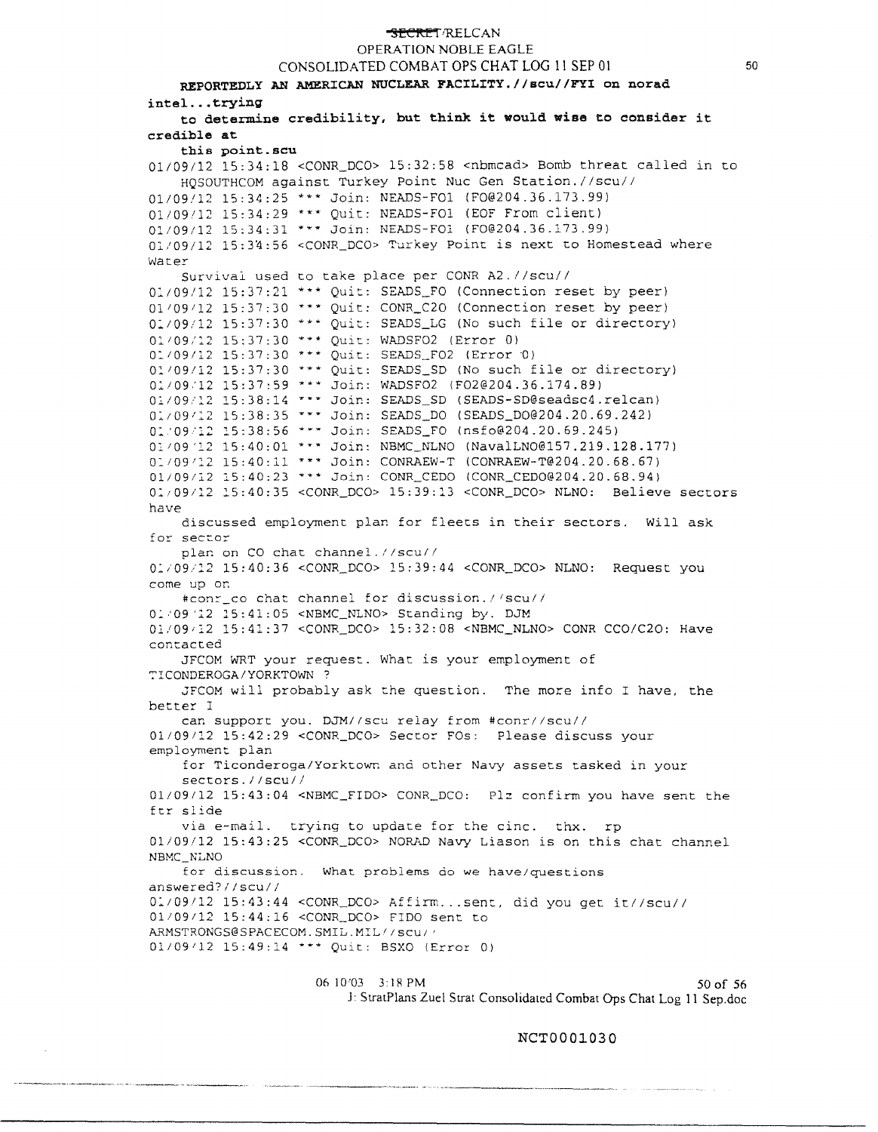## **SECRET/RELCAN** OPERATION NOBLE EAGLE CONSOLIDATED COMBAT OPS CHAT LOG 11 SEP 01 REPORTEDLY AN AMERICAN NUCLEAR FACILITY.//scu//FYI on norad **intel ...trying to determine credibility, but think it would wise to consider it credible at this point.scu**  01/09/12 15:34:18 <CONR\_DCO> 15:32:58 <nbmcad> Bomb threat called in to HQSOUTHCOM against Turkey Point Nuc Gen Station.//scu// 01/09/12 15:34:25 \*\*\* Join: NEADS-FOl ([FO@204.36.173.99](mailto:FO@204.36.173.99)) 01/09/12 15:34:29 \*\*\* Quit: NEADS-FO1 (EOF From client) 01/09/12 15:34:31 \*\*\* Join: NEADS-FOl ([FO@204.36.173.99](mailto:FO@204.36.173.99)) 0l/09/12 lS:3'1:56 <CONR\_DCO> Turkey Point is next to Homestead where Wat.er Survival used to take place per CONR A2.//scu// 0:109/12 15:37:21 \*\*\* Quit: SEADS\_FO (Connection reset by peer)  $01/09/12$  15:37:30 \*\*\* Quit: CONR\_C2O (Connection reset by peer) 0:109112 15:37:30 \*\*\* Quit: SEADS\_LG (No such file or directory) 01/09/12 15:37:30 \*\*\* Ouit: WADSFO2 (Error 0) 01/09/12 15:37:30 \*\*\* Quit: SEADS\_FO2 (Error 0) 01/09/12 15:37:30 \*\*\* Ouit: SEADS\_SD (No such file or directory) 01/09/12 15:37:59 \*\*\* Join: WADSFO2 (F02@204.36.174.89)  $01/09/12$  15:38:14 \*\*\* Join: SEADS\_SD (SEADS-SD@seadsc4.relcan) 01/09/12 15:38:35 \*\*\* Join: SEADS\_DO ([SEADS\\_DO@204.20.69.242](mailto:SEADS_DO@204.20.69.242)) o:. '09 '12 15:38:56 \*\*\* Join: SEADS\_FO ([nsfo@204.20.69.245](mailto:nsfo@204.20.69.245)) 01/09'12 15:40:01 \*\*\* Join: NBMC\_NLNO (NavalLNO@157.219.128.177) 01/09/12 15:40:11 \*\*\* Join: CONRAEW-T ([CONRAEW-T@204.20.68.67](mailto:CONRAEW-T@204.20.68.67)) 0l/09/l2 15:40:23 \*\*\* Join: CONR\_CEDO ([CONR\\_CEDO@204.20.68.94](mailto:CONR_CEDO@204.20.68.94)) o:., 09/12 :!.5:40:35 <CONR\_DCO> 15:39::3 <CONR\_DCO> NLNO: Believe sectors have discussed employment plar. for fleets in their sectors. Will ask for sector plan on CO chat channel.//scu// 0:.i09/l2 15:40:36 <CONR\_DCO> 15:39:44 <CONR\_DCO> NLNO: Request you come up or: #conr\_co chat channel for discussion.//scu// 01/09/12 15:41:05 <NBMC\_NLNO> Standing by. DJM 0l/09il2 15:41:37 <CONR\_DCO> 15:32:08 <NBMC\_NLNO> CONR CCO/C2O: Have contacted JFCOM WRT your request. What is your employment of ~ICONDEROGA/YORKTOWN? JFCOM will probably ask the question. The more info I have, the better I can support you. DJM//scu relay from #conr//scu// 01/09112 15:42:29 <CONR\_DCO> Sector FOs: Please discuss your employment plan for Ticonderoga/Yorktown and other Navy assets tasked in your sectors.//scu// 01/09/12 15:43:04 <NBMC\_FIDO> CONR\_DCO: Plz confirm you have sent the ftr slide via e-mail. trying to update for the cine. thx. rp 01/09/12 15:43:25 <CONR\_DCO> NORAD Navy Liason is on this chat channel

NBMC\_NLNO for discussion. What problems do we have/questions answered?//scu// 0:.109/12 15:43:44 <CONR\_DCO> Affirm ...sent, did you get it//scu// 01/09112 15:44:16 <CONR\_DCO> FIDO sent to ARMSTRONGS@SPACECOM.SMIL.MIL//scu// 01/09/12 15:49:14 \*\*\* Quit: BSXO (Error 0)

> 06 10:03 3:18 PM 50 of 56 J: StratPlans Zuel Strat Consolidated Combat Ops Chat Log 11 Sep.doc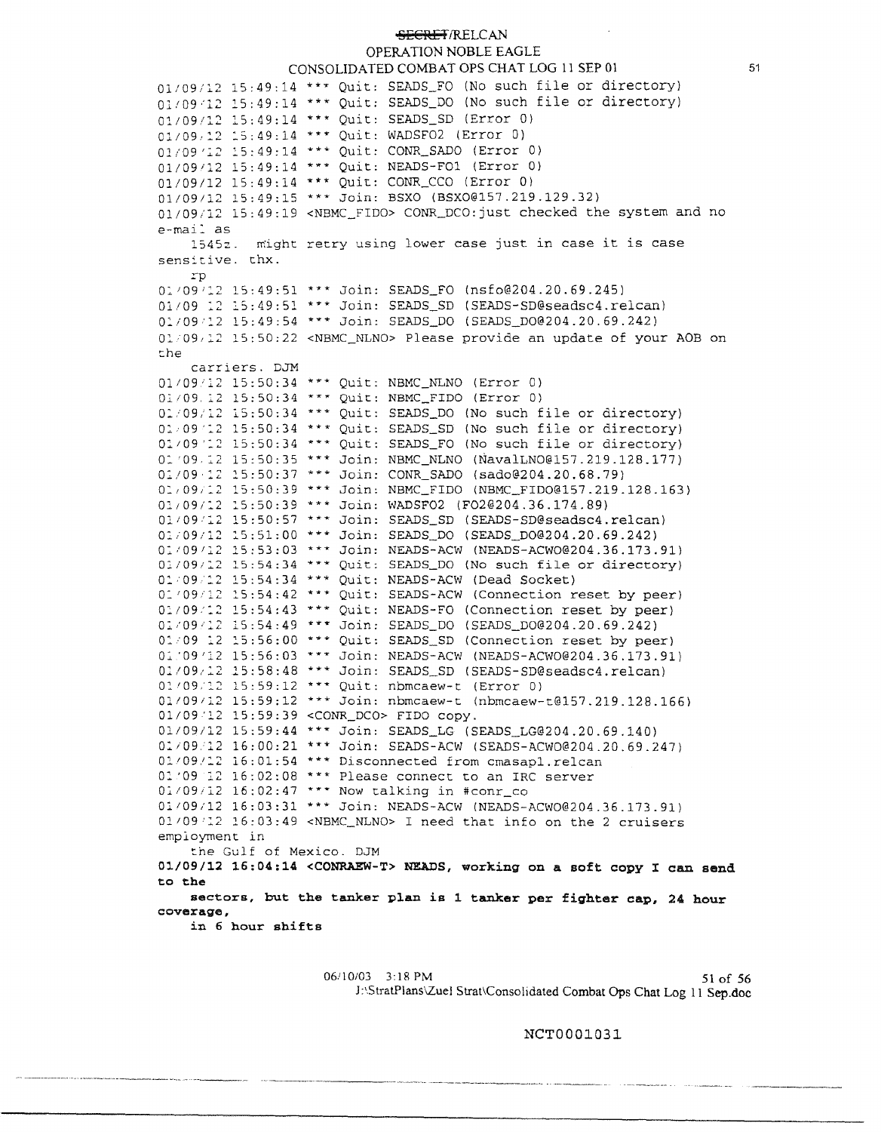OPERATION NOBLE EAGLE CONSOLIDATED COMBAT OPS CHAT LOG 11 SEP 01

01/09/12 15:49:14 \*\*\* Quit: SEADS\_FO (No such file or directory) 01/09/12 15:49:14 \*\*\* Quit: SEADS\_DO (No such file or directory) 01/09/12 lS:49:14 \*\*\* Quit: SEADS\_SD (Error 0) 01/09/12 15:49:14 \*\*\* Quit: WADSF02 (Error 0) 01/09/12 15:49:14 \*\*\* Quit: CONR\_SADO (Error 0) 01/09112 15:49:14 \*"\* Quit: NEADS-FOl (Error 0) 01/09/12 15:49:14 \*\*\* Quit: CONR\_CCO (Error 0) 01/09/12 15:49:15 \*\*\* Join: BSXO ([BSXO@l57.219.129.32](mailto:BSXO@l57.219.129.32)) 01/09/12 15:49:19 <NBMC\_FIDO> CONR\_DCO: just checked the system and no e-mail as 1545::. might retry using lower case just in case it is case sensitive. thx. rp 01/09/12 15:49:51 \*\*\* Join: SEADS FO ([nsfo@204.20.69.245](mailto:nsfo@204.20.69.245)) 01/09 12 15:49:51 \*\*\* Join: SEADS\_SD (SEADS-SD@seadsc4.relcan) 01/09/12 15:49:54 \*\*\* Join: SEADS\_DO (SEADS\_DO@204.20.69.242) 01/09/12 15:50:22 <NBMC\_NLNO> Please provide an update of your AOB on :::he carriers. DJM 01109'12 15:50:34 \*\*\* Quit: NBMC\_NLNO (Error 0) 01/09. 12 15:50:34 \*\*\* Quit: NBMC\_FIDO (Error 0) 01/09/12 15:50:34 \*\*\* Quit: SEADS\_DO (No such file or directory) 01/09/12 15:50:34 \*\*\* Ouit: SEADS\_SD (No such file or directory) 01/09'12 15:50:34 \*\*\* Quit: SEADS\_FO (No such file or directory) 01/09 12 15:50:35 \*\*\* Join: NBMC\_NLNO (NavalLNO@157.219.128.177) 01/09·12 15:50:37 \*\*\* Join: CONR\_SADO ([sado@204.20.68.79](mailto:sado@204.20.68.79)) 01/09/12 15:50:39 \*\*\* Join: NBMC\_FIDO (NBMC\_FIDO@157.219.128.163) 01/09/12 15:50:39 \*\*\* Join: WADSF02 ([F02@204.36.174.89](mailto:F02@204.36.174.89)) 01/09/12 15:50:57 \*\*\* Join: SEADS\_SD (SEADS-SD@seadsc4.relcan) 01/09/12 15:51:00 \*\*\* Join: SEADS\_DO (SEADS\_DO@204.20.69.242) 01/09/12 15:53:03 \*\*\* Join: NEADS-ACW ([NEADS-ACW0@204.36.173.91](mailto:NEADS-ACW0@204.36.173.91)) *0li091:..2* 15:54:34 \*\*\* Quit: SEADS\_DO (No such file or directory)  $0.109/12$  15:54:34 \*\*\* Quit: NEADS-ACW (Dead Socket)<br>01/09/12 15:54:42 \*\*\* Quit: SEADS-ACW (Connection reset by peer) 01/09/12 15:54:43 \*\*\* Quit: NEADS-FO (Connection reset by peer) 01/09/12 15:54:49 \*\*\* Join: SEADS\_DO (SEADS\_DO@204.20.69.242) o: 09 :2 :S:56:00 \*\*\* Quit: SEADS\_SD (Connection reset by peer) o::.. '09 '12 15:56:03 \*\*\* Join: NEADS-ACW ([NEADS-ACW0@204.36.173.91](mailto:NEADS-ACW0@204.36.173.91)) **0:/09/:2** lS:58:48 \*\*\* Join: SEADS\_SD ([SEADS-SD@seadsc4.re1can](mailto:SEADS-SD@seadsc4.re1can)) 01/09/12 15:59:12 \*\*\* Quit: nbmcaew-t (Error 0) 01/09/12 15:59:12 \*\*\* Join: nbmcaew-t ([nbmcaew-t@157.219.128.166](mailto:nbmcaew-t@157.219.128.166)) 01/09/12 15:59:39 <CONR\_DCO> FIDO copy. 01109/12 15:59:44 \*\*\* Join: SEADS\_LG ([SEADS\\_LG@204.20.69.140](mailto:SEADS_LG@204.20.69.140)) [Olt09.l2](https://Olt09.l2) 16:00:21 \*\*\* Join: SEADS-ACW ([SEADS-ACW0@204.20.69.247\)](mailto:SEADS-ACW0@204.20.69.247) 01/09/12 16:01:54 \*\*\* Disconnected from cmasapl.relcan 01/09 12 16:02:08 \*\*\* Please connect to an IRC server 01/09/12 16:02:47 \*\*\* Now talking in #conr\_co 01/09/12 16:03:31 \*\*\* Join: NEADS-ACW ([NEADS-ACW0@204.36.173.91](mailto:NEADS-ACW0@204.36.173.91))  $01/09/12$   $16:03:49$  <NBMC\_NLNO> I need that info on the 2 cruisers employment in the Gulf of Mexico. DJM **01/09/12 16:04:14 <CONRAEW-T> NEADS, working on a soft copy** I **can send to the sectors, but the tanker plan is 1 tanker per fighter cap, 24 hour coverage, in 6 hour shifts** 

> 06/10/03 3:18 PM 51 of 56 J:\StratPlans\Zuel Strat\Consolidated Combat Ops Chat Log 11 Sep.doc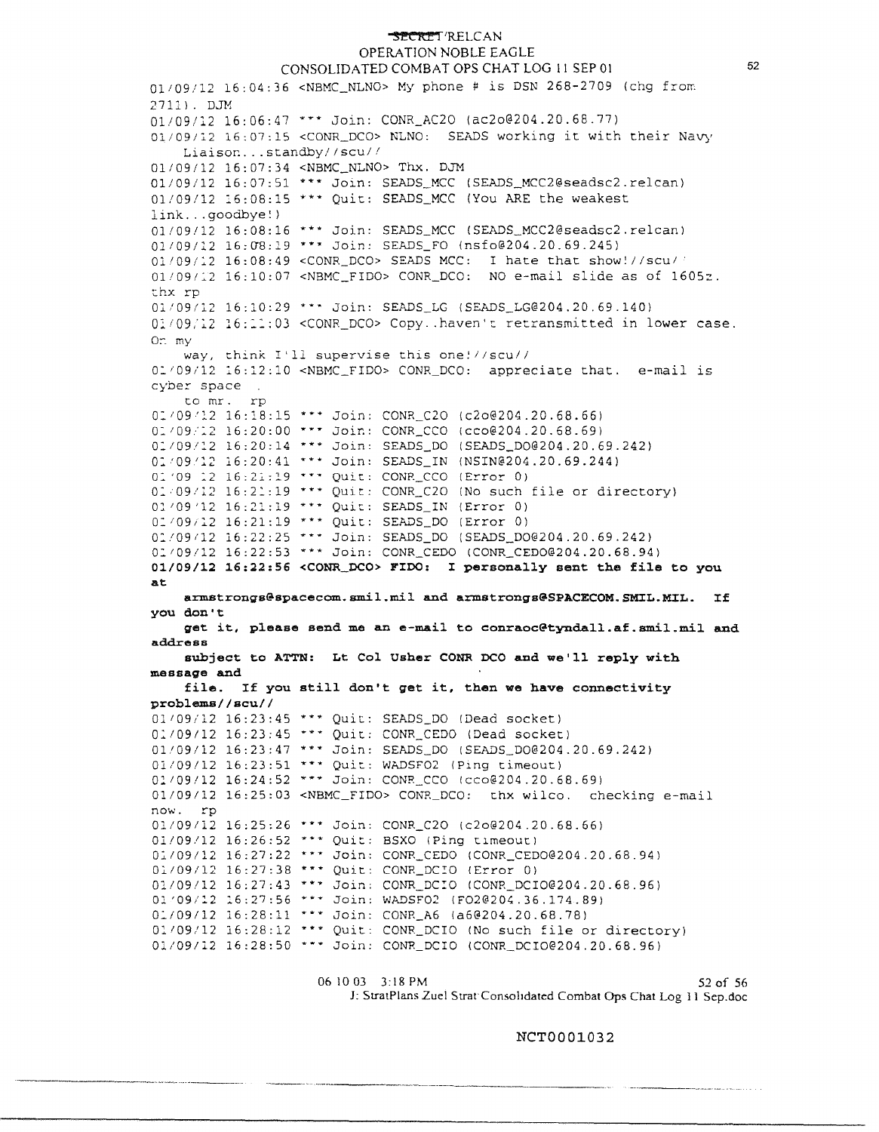## **~l'!C::ltl"** f·RELCAN

#### OPERATION NOBLE EAGLE CONSOLIDATED COMBAT OPS CHAT LOG 11 SEP 01

01/09/12 16:04:36 <NBMC\_NLNO> My phone # is DSN 268-2709 (chg from 2711). DJM 01/09/12 16:06:47 ••• Join: CONR\_AC2O ([ac2o@204.20.68.77](mailto:ac2o@204.20.68.77)) Oli09/l2 16:07:15 <CONR\_DCO> NLNO: SEADS working it with their Navy Liaisor. ... standby// scu/ *<sup>1</sup>* 01/09/12 16:07:34 <NBMC\_NLNO> Thx. DJM 01/09/12 16:07:51 \*\*\* Join: SEADS\_MCC (SEADS\_MCC2@seadsc2.relcan) 01/09/12 16:08:15 \*\*\* Quit: SEADS\_MCC (You ARE the weakest link ... goodbye! ) 01/09/12 16:08:16 \*\*\* Join: SEADS\_MCC ([SEADS\\_MCC2@seadsc2.re1canl](mailto:SEADS_MCC2@seadsc2.re1canl) 01/09/12 16:08:19 \*\*\* Join: SEADS\_FO ([nsfo@204.20.69.245](mailto:nsfo@204.20.69.245)) 01/09/:2 16:08:49 <CONR\_DCO> SEADS MCC: I hate that show!//scul 011091:2 16:10:07 <NBMC\_FIDO> CONR\_DCO: NO e-mail slide as of 1605z. thx rp O:C/09/12 16:10:29 **H•** Join: SEADS\_LG ([SEADS\\_LG@204.20.69.140](mailto:SEADS_LG@204.20.69.140)) 01/09/12 16:11:03 <CONR\_DCO> Copy..haven't retransmitted in lower case.  $0: mv$ way, think I'll supervise this one!/Jscu// 01/09/12 16:12:10 <NBMC\_FIDO> CONR\_DCO: appreciate that. e-mail is cyber space to mr. rp 01/09/12 16:18:15 \*\*\* Join: CONR\_C20 ([c2o@204.20.68.66](mailto:c2o@204.20.68.66)) 01/09/12 16:20:00 \*\*\* Join: CONR\_CCO ([cco@204.20.68.69](mailto:cco@204.20.68.69)) 01/09/12 16:20:14 \*\*\* Join: SEADS\_DO (SEADS\_DO@204.20.69.242) 01/09/12 16:20:41 \*\*\* Join: SEADS\_IN ([NSIN@204.20.69.244](mailto:NSIN@204.20.69.244)) 01'09 12 16:21:19 \*\*\* Quit: CONR\_CCO (Error 0) 0:,09112 16:2::19 \*\*\* Quit: CONR\_C20 (No such file or directory) 01/09/12 16:21:19 \*\*\* Quit: SEADS\_IN (Error 0) o:1091l2 16:21:19 \*\*\* Quit: SEADS\_DO (Error 0) 01/09/12 16:22:25 \*\*\* Join: SEADS\_DO (SEADS\_DO@204.20.69.242) 01/09/12 16:22:53 \*\*\* Join: CONR\_CEDO (CONR\_CEDO@204.20.68.94) **01/09/12 16:22:56 <CONR\_DCO> FIDO:** I **personally sent the file to you at [a:rmstrongs@spacecom.smil.mil](mailto:a:rmstrongs@spacecom.smil.mil) and [armstrongs@SPACECOM.SMJ:L.MJ:L](mailto:armstrongs@SPACECOM.SMJ:L.MJ:L). If you don't**  get it, please send me an e-mail to conraoc@tyndall.af.smil.mil and **address subject to ATTN: Lt Col Usher CONR DCO and we'll reply with message and file. If you still don't get it, then we have connectivity problems//scu//**  01/09/12 16:23:45 \*\*\* Quit: SEADS\_DO (Dead socket) 01/09/12 16:23:45 \*\*\* Quit: CONR\_CEDO (Dead socket) 01.109 / 12 16:23:47 \*\*\* Join: SEADS\_DO ([SEADS\\_D0@204.20.69.242](mailto:SEADS_D0@204.20.69.242)) 01/09/12 16:23:51 \*\*\* Quit: WADSF02 (Ping timeout) 01/09/12 16:24:52 \*\*\* Join: CONR CCO ([cco@204.20.68.69](mailto:cco@204.20.68.69)) 01/09/12 16:25:03 <NBMC\_FIDO> CONR\_DCO: thx wilco. checking e-mail now. rp 01/09/12 16:25:26 \*\*\* Join: CONR\_C20 ([c2o@204.20.68.66](mailto:c2o@204.20.68.66)) 01/09/12 16:26:52 \*\*\* Quit: BSXO (Ping timeout) 01/09/12 16:27:22 \*\*\* Join: CONR\_CEDO (CONR\_CEDO@204.20.68.94) 01/09/12 16:27:38 \*\*\* Quit: CONR\_DCIO (Error 0) 01/09/12 16:27:43 \*\*\* Join: CONR\_DCIO (CONR\_DCIO@204.20.68.96) 01/09/12 16:27:56 \*\*\* Join: WADSF02 (F02@204.36.174.89)  $0.109/12$   $16:28:11$  \*\*\* Join: CONR\_A6 (a6@204.20.68.78) 01/09/12 16:28:12 \*\*\* Quit: CONR\_DCIO (No such file or directory) 01/09/12 16:28:50 \*\*\* Join: CONR\_DCIO (CONR\_DCIO@204.20.68.96)

> 06 10 03 3:18 PM 52 of 56 J: StratPlans Zuel Strat' Consolidated Combat Ops Chat Log 11 Sep.doc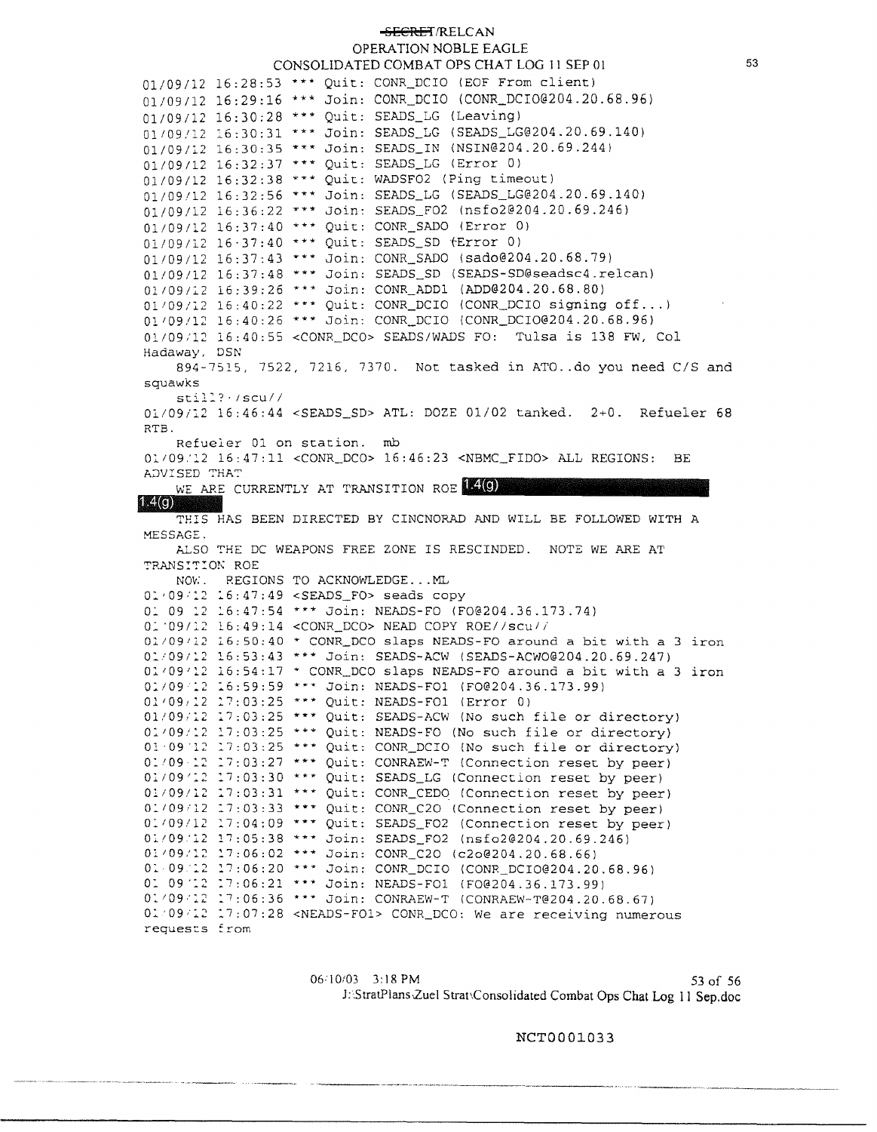**SECRET/RELCAN** OPERATION NOBLE EAGLE CONSOLIDATED COMBAT OPS CHAT LOG I I SEP OJ 01/09/12 16:28:53 \*\*\* Quit: CONR\_DCIO (EOF From client) 01/09/12 16:29:16 \*\*\* Join: CONR DCIO (CONR DCI0@204.20.68.96) 01/09/12 16:30:28 \*\*\* Quit: SEADS LG (Leaving) 01/09/12 :6:30:31 \*\*\* Join: SEADS\_LG ([SEADS\\_LG@204.20.69.140](mailto:SEADS_LG@204.20.69.140)) 01/09/12 16:30:35 \*\*\* Join: SEADS\_IN ([NSIN@204.20.69.244](mailto:NSIN@204.20.69.244))  $01/09/12$   $16:32:37$  \*\*\* Ouit: SEADS LG (Error 0) 01/09/12 16:32:38 \*\*\* Quic: WADSF02 (Ping timeout) 01/09/12 16:32:56 \*\*\* Join: SEADS\_LG ([SEADS\\_LG@204.20.69.140](mailto:SEADS_LG@204.20.69.140)) 01/09/12 16:36:22 \*\*\* Join: SEADS\_F02 ([nsfo2@204.20.69.246](mailto:nsfo2@204.20.69.246)) 01/09/12 16:37:40 \*\*\* Quit: CONR\_SADO (Error 0)  $01/09/12$  16·37:40 \*\*\* Quit: SEADS SD (Error 0) 01/09/12 16:37:43 \*\*\* Join: CONR SADO ([sado@204.20.68.79](mailto:sado@204.20.68.79)) 01/09/12 16:37:48 \*\*\* Join: SEADS\_SD ([SEADS-SD@seadsc4.re1can](mailto:SEADS-SD@seadsc4.re1can)) 01109/12 16:39:26 \*\*\* Join: CONR\_ADDl ([ADD@204.20.68.80](mailto:ADD@204.20.68.80))  $01/09/12$  16:40:22 \*\*\* Quit: CONR\_DCIO (CONR\_DCIO signing off...) 01'09/12 16:40:26 \*\*\* Join: CONR\_DCIO ([CONR\\_DCI0@204.20.68.96](mailto:CONR_DCI0@204.20.68.96)} 01/09/12 16:40:55 <CONR DCO> SEADS/WADS FO: Tulsa is 138 FW, Col Hadaway, DSN 894-7515, 7522, 7216, 7370. Not tasked in ATO .. do you need C/S and squawks  $still?$   $/scu//$ Ol./09/i.2 16:46:44 <SEADS\_SD> ATL: DOZE 01/02 tanked. 2+0. Refueler 68 RTB. Refueler 01 on scation. mb Oli09.'l2 16:47:11 <CONR\_DCO> 16:46:23 <NBMC\_FIDO> ALL REGIONS: BE A;::)V:::SED **':'HA':'**  WE ARE CURRENTLY AT TRANSITION ROE 14(G) 174 (c) THIS HAS BEEN DIRECTED BY CINCNORAD AND WILL BE FOLLOWED WITH A MESSAGE.

ALSO THE DC WEAPONS FREE ZONE IS RESCINDED. NOTE WE ARE AT TRANSITION ROE

Nov:. REGIONS TO ACKNOWLEDGE. - . ML 01/09/12 16:47:49 <SEADS\_FO> seads copy 01 09 12 16:47:54 \*\*\* Join: NEADS-FO (FO@204.36.173.74) O.:. '09/l2 16:49:14 <CONR\_DCO> NEAD COPY ROE//scu// *01109112* 16:50:40 \* CONR\_DCO slaps NEADS-FO around a bit with a 3 iron 01/09/12 16:53:43 \*\*\* Join: SEADS-ACW ([SEADS-ACW0@204.20.69.247](mailto:SEADS-ACW0@204.20.69.247))  $0.001/09/12$  16:54:17 \* CONR\_DCO slaps NEADS-FO around a bit with a 3 iron *0:.109* :2 :.6:59:59 \*\*\* Join: NEADS-FOl ([F0@204.36.173.99](mailto:F0@204.36.173.99)) 01/09/12 17:03:25 \*\*\* Quit: NEADS-FOl (Error 0) 01/09/12 17:03:25 \*\*\* Quit: SEADS-ACW (No such file or directory) 01/09/12 17:03:25 \*\*\* Quit: NEADS-FO (No such file or directory) O! 09 12 :7:03:25 \*\*\* Quit: CONR\_DCIO (No such file or directory) 01/09 12 17:03:27 \*\*\* Quit: CONRAEW-T (Connection reset by peer) 01/09'12 17:03:30 \*\*\* Quit: SEADS\_LG (Connection reset by peer) 01/09/12 17:03:31 \*\*\* Quit: CONR\_CEDO (Connection reset by peer)  $0.109/12$  :7:03:33 \*\*\* Quit: CONR\_C2O (Connection reset by peer) 01/09/12 17:04:09 \*\*\* Quit: SEADS\_FO2 (Connection reset by peer) 01/09/12 17:05:38 \*\*\* Join: SEADS\_FO2 ([nsfo2@204.20.69.246](mailto:nsfo2@204.20.69.246)) 01109:12 l7:06:02 \*\*\* Join: CONR\_C20 ([c2o@204.20.68.66](mailto:c2o@204.20.68.66)) 01.09.12 17:06:20 \*\*\* Join: CONR\_DCIO ([CONR\\_DCI0@204.20.68.96](mailto:CONR_DCI0@204.20.68.96)) 01 09 '12 17:06:21 \*\*\* Join: NEADS-FOl (FO@204.36.173.99) 01/09/12 17:06:36 \*\*\* Join: CONRAEW-T ([CONRAEW-T@204.20.68.67](mailto:CONRAEW-T@204.20.68.67)) o: *09:::..2* :7:07:28 <NEADS-FOl> CONR\_DCO: We are receiving numerous requests from

> 06/10/03 3:18 PM 53 of 56 J::StratPlans.Zuel Strat\Consolidated Combat Ops Chat Log 11 Sep.doc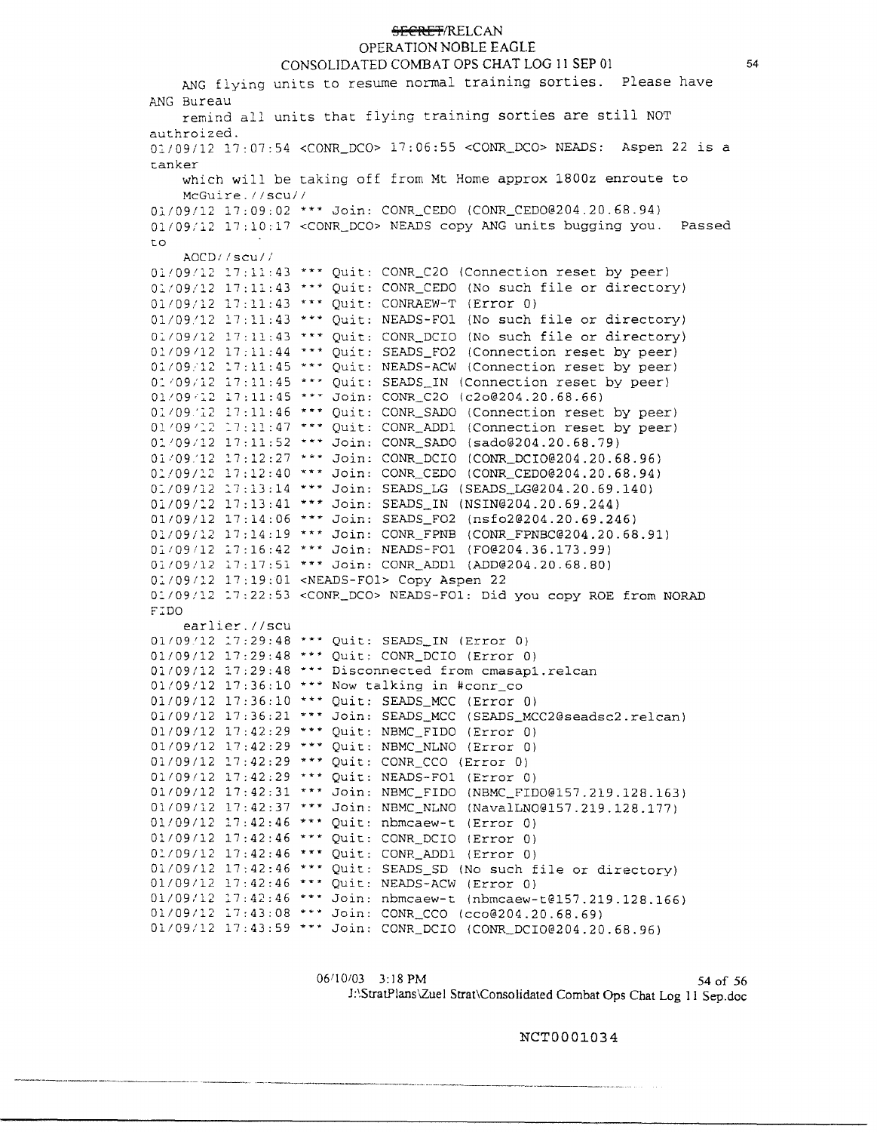**OPERATION NOBLE EAGLE** 

CONSOLIDATED COMBAT OPS CHAT LOG 11 SEP 01 ANG flying units to resume normal training sorties. Please have ANG Bureau remind all units that flying training sorties are still NOT authroized. 01/09/12 17:07:54 <CONR\_DCO> 17:06:55 <CONR\_DCO> NEADS: Aspen 22 is a t.anker which will be taking off from Mt Home approx 1800z enroute to McGuire.//scu// 01/09/12 17:09:02 \*\*\* Join: CONR\_CEDO (CONR\_CEDO@204.20.68.94) 01/09/12 17:10:17 < CONR\_DCO> NEADS copy ANG units bugging you. Passed t.O AOCD1/scu// **Ol/09/J..2 :7:ll:43** *\*\*YI:* **Quit: CONR\_C20 (Connection reset by peer)**  Ol/09/l2 17:ll:43 \*\*\* Quit.: CONR\_CEDO (No such file or directory) 01/09/12 17:11:43 \*\*\* Quit: CONRAEW-T (Error 0) 01/09.'12 17:11:43 \*\*\* Quit: NEADS-FOl (No such file or directory) 0:109112 17:11:43 \*\*\* Quit: CONR\_DCIO (No such file or directory) 01/09/12 17:11:44 \*\*\* Ouit: SEADS FO2 (Connection reset by peer) 01/09.12 17:11:45 \*\*\* Quit: NEADS-ACW (Connection reset by peer) 01/09/12 17:11:45 \*\*\* Quit: SEADS\_IN (Connection reset by peer) 01/09/12 17:11:45 \*\*\* Join: CONR\_C20 ([c2o@204.20.68.66](mailto:c2o@204.20.68.66)) 01/09/12 17:11:46 \*\*\* Quit: CONR\_SADO (Connection reset by peer)  $01/09/12$   $17:11:47$  \*\*\* Quit: CONR\_ADD1 (Connection reset by peer) 0l'09/l2 17:11:52 \*\*\* Join: CONR\_SADO ([sado@204.20.68.79](mailto:sado@204.20.68.79)) 01/09'12 17:12:27 \*\*\* Join: CONR\_DCIO ([CONR\\_DCI0@204.20.68.96](mailto:CONR_DCI0@204.20.68.96)) Ol/09/12 17:12:40 \*\*\* Join: CONR\_CEDO ([CONR\\_CED0@204.20.68.94](mailto:CONR_CED0@204.20.68.94)) 01/09/12 17:13:14 \*\*\* Join: SEADS\_LG ([SEADS\\_LG@204.20.69.140](mailto:SEADS_LG@204.20.69.140)) 01/09/:2 17:13:41 \*\*\* Join: SEADS\_IN ([NSIN@204.20.69.244](mailto:NSIN@204.20.69.244)) 01/09/12 17:14:06 \*\*\* Join: SEADS\_F02 ([nsfo2@204.20.69.246](mailto:nsfo2@204.20.69.246)) 01/09/12 17:14:19 \*\*\* Join: CONR\_FPNB [\(CONR\\_FPNBC@204.20.68.91](mailto:CONR_FPNBC@204.20.68.91)) Ol109112 l7:16:42 \*\*\* Join: NEADS-FOl ([F0@204.36.173.99](mailto:F0@204.36.173.99)) 01109/12 17:17:51 \*"\* Join: CONR\_ADDl ([ADD@204.20.68.80](mailto:ADD@204.20.68.80)) 01/09112 17:19:01 <NEADS-FOl> Copy Aspen 22 02./09/12 2.7:22:53 <CONR\_DCO> NEADS-FOl: Did you copy ROE from NORAD F:::DO earlier.//scu 01/09/12 17:29:48 \*\*\* Quit: SEADS\_IN (Error 0) 01/09/12 17:29:48 \*\*\* Quit: CONR\_DCIO (Error 0)  $01/09/12$  17:29:48 \*\*\* Disconnected from cmasapl.relcan 01/09!12 17:36:10 \*\*\* Now talking in #conr\_co 01/09/12 17:36:10 \*\*\* Quit: SEADS\_MCC (Error 0) 01/09/12 17:36:21 \*\*\* Join: SEADS\_MCC (SEADS\_MCC2@seadsc2.relcan) 01/09/12 17:42:29 \*\*\* Quit: NBMC\_FIDO (Error 0)  $01/09/12$  17:42:29 \*\*\* Quit: NBMC\_NLNO (Error 0) 01/09/12 17:42:29 \*\*\* Ouit: CONR CCO (Error 0) 01/09/12 17:42:29 \*\*\* Quit: NEADS-FO1 (Error 0) 01/09/12 17:42:31 \*\*\* Join: NBMC\_FIDO ([NBMC\\_FIDO@l57.219.128.163](mailto:NBMC_FIDO@l57.219.128.163)) 01/09/12 17:42:37 \*\*\* Join: NBMC\_NLNO ([NavalLNO@l57.219.128.177](mailto:NavalLNO@l57.219.128.177)) 01/09/12 17:42:46 \*\*\* Quit: nbmcaew-t (Error 0) 01/09/12 17:42:46 \*\*\* Quit: CONR\_DCIO (Error 0) 01/09/12 17:42:46 \*\*\* Quit: CONR\_ADD1 (Error 0)  $01/09/12$  17:42:46 \*\*\* Quit: SEADS\_SD (No such file or directory) 01/09/12 17:42:46 \*\*\* Quit: NEADS-ACW (Error 0) 01/09/12 17:42:46 \*\*\* Join: nbmcaew-t (nbmcaew-t@157.219.128.166) 01/09/12 17:43:08 \*\*\* Join: CONR\_CCO ([cco@204.20.68.69](mailto:cco@204.20.68.69)) 01/09/12 17:43:59 \*\*\* Join: CONR\_DCIO ([CONR\\_DCI0@204.20.68.96](mailto:CONR_DCI0@204.20.68.96))

> 06/10/03 3:18 PM 54 of 56 J:\StratPlans\Zuel Strat\Consolidated Combat Ops Chat Log 11 Sep.doc

> > NCT000l034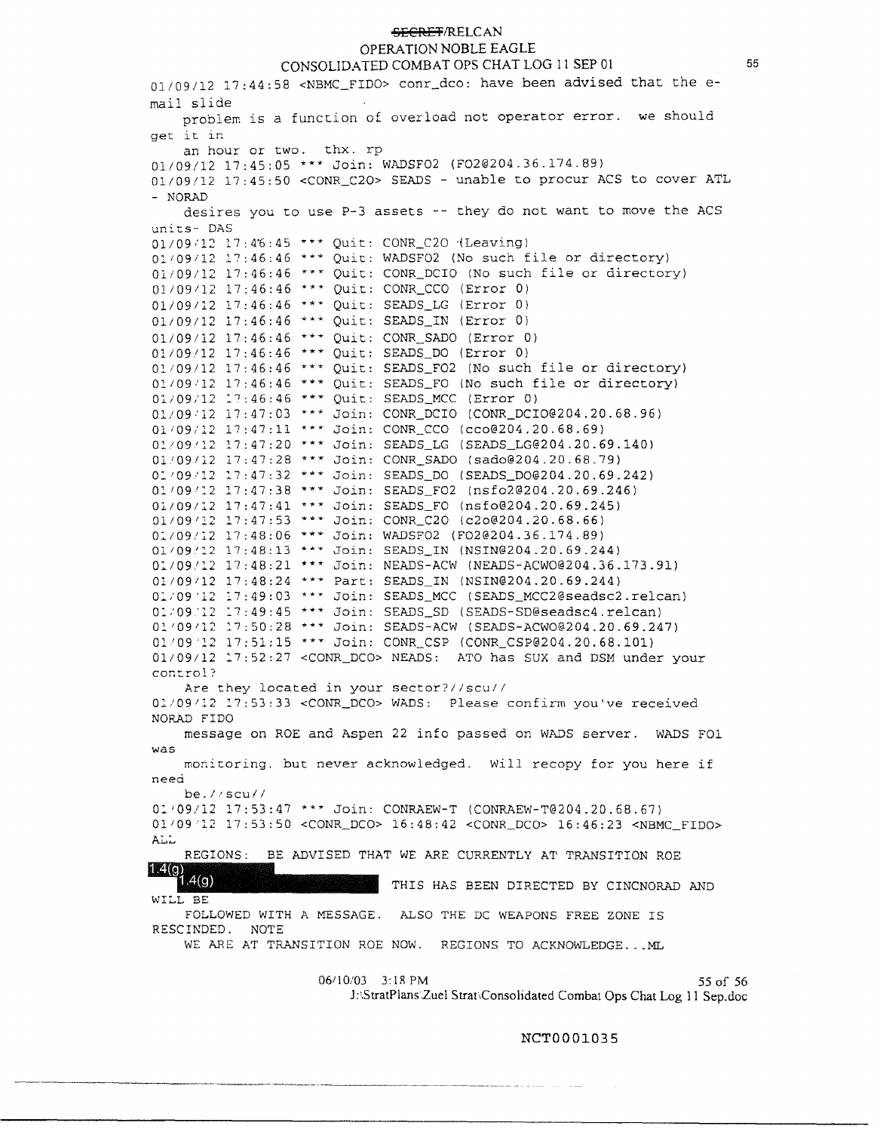# OPERATION NOBLE EAGLE

CONSOLIDATED COMBAT OPS CHAT LOG 11 SEP 01  $01/09/12$  17:44:58 <NBMC\_FIDO> conr\_dco: have been advised that the email slide problem is a function of overload not operator error. we should get it. in an hour or two. thx. rp 01/09/12 17:45:05 \*\*\* Join: WADSF02 ([F02@204.36.174.89](mailto:F02@204.36.174.89)) 01/09/12 17:45:50 <CONR\_C20> SEADS - unable to procur ACS to cover ATL - NORAD desires you to use P-3 assets -- they do not want to move the ACS units- DAS  $01/09/12$  17:46:45 \*\*\* Quit: CONR\_C20 (Leaving)  $0.1/09/12$  .17:46:46 \*\*\* Ouit: WADSF02 (No such file or directory) 01/09/12 17:46:46 ••• Quit: CONR\_DCIO (No such file or directory) 01/09112 17:46:46 \*\*\* Quit: CONR\_CCO (Error 0) 01/09112 17:46:46 \*\*\* Quit: SEADS\_LG (Error 0) 01/09/12 17:46:46 \*\*\* Ouit: SEADS\_IN (Error 0) 01/09/12 17:46:46 \*\*\* Quit: CONR\_SADO (Error 0) 01/09112 17:46:46 \*\*\* Quit: SEADS\_DO (Error 0)  $01/09/12$   $17:46:46$  \*\*\* Ouit: SEADS FO2 (No such file or directory) 01109:12 17:46:46 \*\*\* Quit: SEADS\_FO (No such file or directory} 01/09/12 17:46:46 \*\*\* Ouit: SEADS\_MCC (Error 0) Ol/09:12 17:47:03 \*\*\* Join: CONR\_DCIO ([CONR\\_DCI0@204.20.68.96](mailto:CONR_DCI0@204.20.68.96)) 01/09/12 17:47:11 \*\*\* Join: CONR\_CCO ([cco@204.20.68.69](mailto:cco@204.20.68.69)) 01/09/12 17:47:20 \*\*\* Join: SEADS\_LG ([SEADS\\_LG@204.20.69.140](mailto:SEADS_LG@204.20.69.140)) 01.'09/12 17:47:28 \*\*\* Join: CONR\_SADO ([sado@204.20.68.79](mailto:sado@204.20.68.79)) 01/09/12 17:47:32 \*\*\* Join: SEADS\_DO (SEADS\_DO@204.20.69.242) 01/09/12 17:47:38 \*\*\* Join: SEADS\_FO2 ([nsfo2@204.20.69.246](mailto:nsfo2@204.20.69.246)) 01/09/12 17:47:41 \*\*\* Join: SEADS\_FO ([nsfo@204.20.69.245](mailto:nsfo@204.20.69.245)} 01/09/12 17:47:53 \*\*\* Join: CONR\_C20 ([c2o@204.20.68.66](mailto:c2o@204.20.68.66)) 01/09/12 17:48:06 \*\*\* Join: WADSF02 ([F02@204.36.174.89](mailto:F02@204.36.174.89)) 01/09/12 17:48:13 \*\*\* Join: SEADS\_IN ([NSIN@204.20.69.244](mailto:NSIN@204.20.69.244)) 01/09/12 17:48:21 \*\*\* Join: NEADS-ACW ([NEADS-ACW0@204.36.173.91](mailto:NEADS-ACW0@204.36.173.91)) o:;09112 17:48:24 \*\*\* Part: SEADS\_IN ([NSIN@204.20.69.244](mailto:NSIN@204.20.69.244)) 01/09'12 17:49:03 \*\*\* Join: SEADS\_MCC (SEADS\_MCC2@seadsc2.relcan) **0::09.·1\_2 :7:49:45** \*\*\* **Join: SEADS\_SD {[SEADS-SD@seadsc4.re1can](mailto:SEADS-SD@seadsc4.re1can))**  01/09/12 17:50:28 \*\*\* Join: SEADS-ACW ([SEADS-ACW0@204.20.69.247](mailto:SEADS-ACW0@204.20.69.247)) 01'09'2.2 17:51:15 \*\*\* Join: CONR\_CSP ([CONR\\_CSP@204.20.68.101](mailto:CONR_CSP@204.20.68.101)) 01/09/12 17:52:27 <CONR\_DCO> NEADS: ATO has SUX and DSM under your control? Are they located in your sector?//scu// 01/09/12 17:53:33 <CONR\_DCO> WADS: Please confirm you've received NORAD FIDO message on ROE and Aspen 22 info passed on WADS server. WADS FOl was monitoring, but never acknowledged. Will recopy for you here if neeci be.//SCU// 01/09/12 17:53:47 \*\*\* Join: CONRAEW-T ([CONRAEW-T@204.20.68.67](mailto:CONRAEW-T@204.20.68.67)) 01 109'12 17:53:50 <CONR\_DCO> 16:48:42 <CONR\_DCO> 16:46:23 <NBMC\_FIDO> Ai..:. REGIONS: BE ADVISED THAT WE ARE CURRENTLY AT TRANSITION ROE **TEACO**  $.4(q)$ THIS HAS BEEN DIRECTED BY CINCNORAD AND **WILL BE**  FOLLOWED WITH A MESSAGE. ALSO THE DC WEAPONS FREE ZONE IS RESCINDED. NOTE WE ARE AT TRANSITION ROE NOW. REGIONS TO ACKNOWLEDGE... ML 06/10/03 3:18 PM 55 of 56

J:\StratPlans Zuel Strat,Consolidated Combat Ops Chat Log 11 Sep.doc